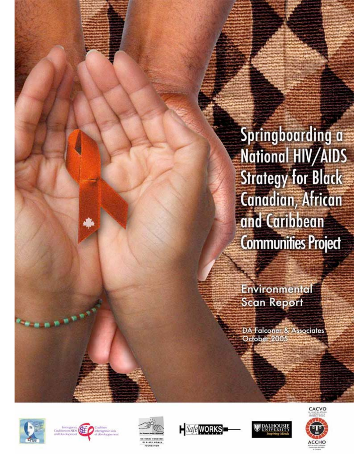# Springboarding a **National HIV/AIDS Strategy for Black Canadian, African** and Caribbean **Communities Project**

Environmental **Scan Report** 

DA Falconer & Associates October 2005











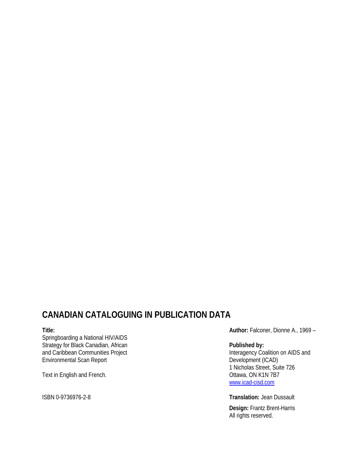# **CANADIAN CATALOGUING IN PUBLICATION DATA**

#### **Title:**

Springboarding a National HIV/AIDS Strategy for Black Canadian, African and Caribbean Communities Project Environmental Scan Report

Text in English and French.

ISBN 0-9736976-2-8

**Author:** Falconer, Dionne A., 1969 –

#### **Published by:**

Interagency Coalition on AIDS and Development (ICAD) 1 Nicholas Street, Suite 726 Ottawa, ON K1N 7B7 www.icad-cisd.com

**Translation:** Jean Dussault

**Design:** Frantz Brent-Harris All rights reserved.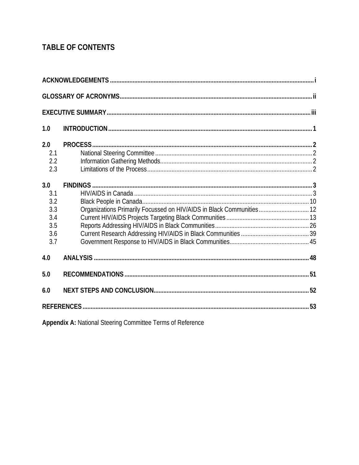# **TABLE OF CONTENTS**

| 1.0                                                  |                                                                      |  |  |  |  |  |
|------------------------------------------------------|----------------------------------------------------------------------|--|--|--|--|--|
| 2.0<br>2.1<br>2.2<br>2.3                             | PROCESS.                                                             |  |  |  |  |  |
| 3.0<br>3.1<br>3.2<br>3.3<br>3.4<br>3.5<br>3.6<br>3.7 | Organizations Primarily Focussed on HIV/AIDS in Black Communities 12 |  |  |  |  |  |
| 4.0                                                  |                                                                      |  |  |  |  |  |
| 5.0                                                  |                                                                      |  |  |  |  |  |
| 6.0                                                  |                                                                      |  |  |  |  |  |
|                                                      |                                                                      |  |  |  |  |  |

Appendix A: National Steering Committee Terms of Reference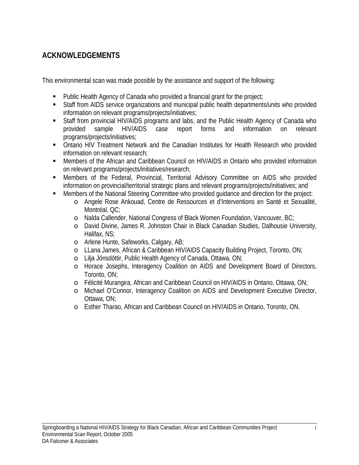# **ACKNOWLEDGEMENTS**

This environmental scan was made possible by the assistance and support of the following:

- Public Health Agency of Canada who provided a financial grant for the project;
- Staff from AIDS service organizations and municipal public health departments/units who provided information on relevant programs/projects/initiatives;
- Staff from provincial HIV/AIDS programs and labs, and the Public Health Agency of Canada who provided sample HIV/AIDS case report forms and information on relevant programs/projects/initiatives;
- Ontario HIV Treatment Network and the Canadian Institutes for Health Research who provided information on relevant research;
- Members of the African and Caribbean Council on HIV/AIDS in Ontario who provided information on relevant programs/projects/initiatives/research;
- Members of the Federal, Provincial, Territorial Advisory Committee on AIDS who provided information on provincial/territorial strategic plans and relevant programs/projects/initiatives; and
- Members of the National Steering Committee who provided guidance and direction for the project:
	- o Angele Rose Ankouad, Centre de Ressources et d'Interventions en Santé et Sexualité, Montréal, QC;
	- o Nalda Callender, National Congress of Black Women Foundation, Vancouver, BC;
	- o David Divine, James R. Johnston Chair in Black Canadian Studies, Dalhousie University, Halifax, NS;
	- o Arlene Hunte, Safeworks, Calgary, AB;
	- o LLana James, African & Caribbean HIV/AIDS Capacity Building Project, Toronto, ON;
	- o Lilja Jónsdóttir, Public Health Agency of Canada, Ottawa, ON;
	- o Horace Josephs, Interagency Coalition on AIDS and Development Board of Directors, Toronto, ON;
	- o Félicité Murangira, African and Caribbean Council on HIV/AIDS in Ontario, Ottawa, ON;
	- o Michael O'Connor, Interagency Coalition on AIDS and Development Executive Director, Ottawa, ON;
	- o Esther Tharao, African and Caribbean Council on HIV/AIDS in Ontario, Toronto, ON.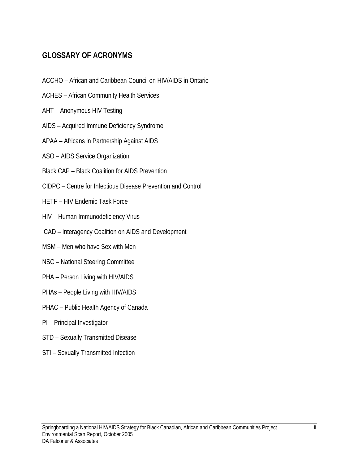# **GLOSSARY OF ACRONYMS**

- ACCHO African and Caribbean Council on HIV/AIDS in Ontario
- ACHES African Community Health Services
- AHT Anonymous HIV Testing
- AIDS Acquired Immune Deficiency Syndrome
- APAA Africans in Partnership Against AIDS
- ASO AIDS Service Organization
- Black CAP Black Coalition for AIDS Prevention
- CIDPC Centre for Infectious Disease Prevention and Control
- HETF HIV Endemic Task Force
- HIV Human Immunodeficiency Virus
- ICAD Interagency Coalition on AIDS and Development
- MSM Men who have Sex with Men
- NSC National Steering Committee
- PHA Person Living with HIV/AIDS
- PHAs People Living with HIV/AIDS
- PHAC Public Health Agency of Canada
- PI Principal Investigator
- STD Sexually Transmitted Disease
- STI Sexually Transmitted Infection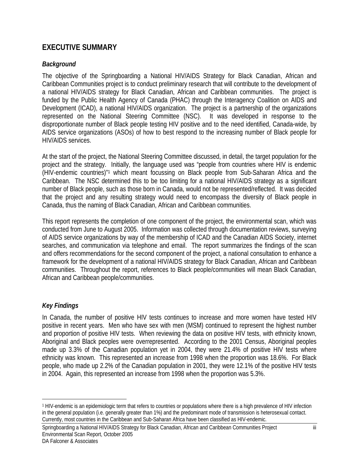# **EXECUTIVE SUMMARY**

## *Background*

The objective of the Springboarding a National HIV/AIDS Strategy for Black Canadian, African and Caribbean Communities project is to conduct preliminary research that will contribute to the development of a national HIV/AIDS strategy for Black Canadian, African and Caribbean communities. The project is funded by the Public Health Agency of Canada (PHAC) through the Interagency Coalition on AIDS and Development (ICAD), a national HIV/AIDS organization. The project is a partnership of the organizations represented on the National Steering Committee (NSC). It was developed in response to the disproportionate number of Black people testing HIV positive and to the need identified, Canada-wide, by AIDS service organizations (ASOs) of how to best respond to the increasing number of Black people for HIV/AIDS services.

At the start of the project, the National Steering Committee discussed, in detail, the target population for the project and the strategy. Initially, the language used was "people from countries where HIV is endemic (HIV-endemic countries)"1 which meant focussing on Black people from Sub-Saharan Africa and the Caribbean. The NSC determined this to be too limiting for a national HIV/AIDS strategy as a significant number of Black people, such as those born in Canada, would not be represented/reflected. It was decided that the project and any resulting strategy would need to encompass the diversity of Black people in Canada, thus the naming of Black Canadian, African and Caribbean communities.

This report represents the completion of one component of the project, the environmental scan, which was conducted from June to August 2005. Information was collected through documentation reviews, surveying of AIDS service organizations by way of the membership of ICAD and the Canadian AIDS Society, internet searches, and communication via telephone and email. The report summarizes the findings of the scan and offers recommendations for the second component of the project, a national consultation to enhance a framework for the development of a national HIV/AIDS strategy for Black Canadian, African and Caribbean communities. Throughout the report, references to Black people/communities will mean Black Canadian, African and Caribbean people/communities.

## *Key Findings*

 $\overline{a}$ 

In Canada, the number of positive HIV tests continues to increase and more women have tested HIV positive in recent years. Men who have sex with men (MSM) continued to represent the highest number and proportion of positive HIV tests. When reviewing the data on positive HIV tests, with ethnicity known, Aboriginal and Black peoples were overrepresented. According to the 2001 Census, Aboriginal peoples made up 3.3% of the Canadian population yet in 2004, they were 21.4% of positive HIV tests where ethnicity was known. This represented an increase from 1998 when the proportion was 18.6%. For Black people, who made up 2.2% of the Canadian population in 2001, they were 12.1% of the positive HIV tests in 2004. Again, this represented an increase from 1998 when the proportion was 5.3%.

<sup>1</sup> HIV-endemic is an epidemiologic term that refers to countries or populations where there is a high prevalence of HIV infection in the general population (i.e. generally greater than 1%) and the predominant mode of transmission is heterosexual contact. Currently, most countries in the Caribbean and Sub-Saharan Africa have been classified as HIV-endemic.

Springboarding a National HIV/AIDS Strategy for Black Canadian, African and Caribbean Communities Project iii Environmental Scan Report, October 2005 DA Falconer & Associates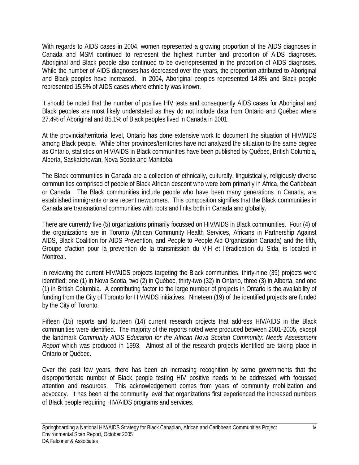With regards to AIDS cases in 2004, women represented a growing proportion of the AIDS diagnoses in Canada and MSM continued to represent the highest number and proportion of AIDS diagnoses. Aboriginal and Black people also continued to be overrepresented in the proportion of AIDS diagnoses. While the number of AIDS diagnoses has decreased over the years, the proportion attributed to Aboriginal and Black peoples have increased. In 2004, Aboriginal peoples represented 14.8% and Black people represented 15.5% of AIDS cases where ethnicity was known.

It should be noted that the number of positive HIV tests and consequently AIDS cases for Aboriginal and Black peoples are most likely understated as they do not include data from Ontario and Québec where 27.4% of Aboriginal and 85.1% of Black peoples lived in Canada in 2001.

At the provincial/territorial level, Ontario has done extensive work to document the situation of HIV/AIDS among Black people. While other provinces/territories have not analyzed the situation to the same degree as Ontario, statistics on HIV/AIDS in Black communities have been published by Québec, British Columbia, Alberta, Saskatchewan, Nova Scotia and Manitoba.

The Black communities in Canada are a collection of ethnically, culturally, linguistically, religiously diverse communities comprised of people of Black African descent who were born primarily in Africa, the Caribbean or Canada. The Black communities include people who have been many generations in Canada, are established immigrants or are recent newcomers. This composition signifies that the Black communities in Canada are transnational communities with roots and links both in Canada and globally.

There are currently five (5) organizations primarily focussed on HIV/AIDS in Black communities. Four (4) of the organizations are in Toronto (African Community Health Services, Africans in Partnership Against AIDS, Black Coalition for AIDS Prevention, and People to People Aid Organization Canada) and the fifth, Groupe d'action pour la prevention de la transmission du VIH et l'éradication du Sida, is located in Montreal.

In reviewing the current HIV/AIDS projects targeting the Black communities, thirty-nine (39) projects were identified; one (1) in Nova Scotia, two (2) in Québec, thirty-two (32) in Ontario, three (3) in Alberta, and one (1) in British Columbia. A contributing factor to the large number of projects in Ontario is the availability of funding from the City of Toronto for HIV/AIDS initiatives. Nineteen (19) of the identified projects are funded by the City of Toronto.

Fifteen (15) reports and fourteen (14) current research projects that address HIV/AIDS in the Black communities were identified. The majority of the reports noted were produced between 2001-2005, except the landmark *Community AIDS Education for the African Nova Scotian Community: Needs Assessment Report* which was produced in 1993. Almost all of the research projects identified are taking place in Ontario or Québec.

Over the past few years, there has been an increasing recognition by some governments that the disproportionate number of Black people testing HIV positive needs to be addressed with focussed attention and resources. This acknowledgement comes from years of community mobilization and advocacy. It has been at the community level that organizations first experienced the increased numbers of Black people requiring HIV/AIDS programs and services.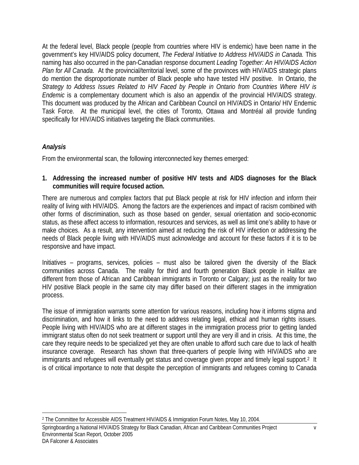At the federal level, Black people (people from countries where HIV is endemic) have been name in the government's key HIV/AIDS policy document, *The Federal Initiative to Address HIV/AIDS in Canada.* This naming has also occurred in the pan-Canadian response document *Leading Together: An HIV/AIDS Action Plan for All Canada*. At the provincial/territorial level, some of the provinces with HIV/AIDS strategic plans do mention the disproportionate number of Black people who have tested HIV positive. In Ontario, the *Strategy to Address Issues Related to HIV Faced by People in Ontario from Countries Where HIV is Endemic* is a complementary document which is also an appendix of the provincial HIV/AIDS strategy. This document was produced by the African and Caribbean Council on HIV/AIDS in Ontario/ HIV Endemic Task Force. At the municipal level, the cities of Toronto, Ottawa and Montréal all provide funding specifically for HIV/AIDS initiatives targeting the Black communities.

## *Analysis*

From the environmental scan, the following interconnected key themes emerged:

**1. Addressing the increased number of positive HIV tests and AIDS diagnoses for the Black communities will require focused action.** 

There are numerous and complex factors that put Black people at risk for HIV infection and inform their reality of living with HIV/AIDS. Among the factors are the experiences and impact of racism combined with other forms of discrimination, such as those based on gender, sexual orientation and socio-economic status, as these affect access to information, resources and services, as well as limit one's ability to have or make choices. As a result, any intervention aimed at reducing the risk of HIV infection or addressing the needs of Black people living with HIV/AIDS must acknowledge and account for these factors if it is to be responsive and have impact.

Initiatives – programs, services, policies – must also be tailored given the diversity of the Black communities across Canada. The reality for third and fourth generation Black people in Halifax are different from those of African and Caribbean immigrants in Toronto or Calgary; just as the reality for two HIV positive Black people in the same city may differ based on their different stages in the immigration process.

The issue of immigration warrants some attention for various reasons, including how it informs stigma and discrimination, and how it links to the need to address relating legal, ethical and human rights issues. People living with HIV/AIDS who are at different stages in the immigration process prior to getting landed immigrant status often do not seek treatment or support until they are very ill and in crisis. At this time, the care they require needs to be specialized yet they are often unable to afford such care due to lack of health insurance coverage. Research has shown that three-quarters of people living with HIV/AIDS who are immigrants and refugees will eventually get status and coverage given proper and timely legal support.<sup>2</sup> It is of critical importance to note that despite the perception of immigrants and refugees coming to Canada

<sup>1</sup> 2 The Committee for Accessible AIDS Treatment HIV/AIDS & Immigration Forum Notes, May 10, 2004.

Springboarding a National HIV/AIDS Strategy for Black Canadian, African and Caribbean Communities Project v Environmental Scan Report, October 2005 DA Falconer & Associates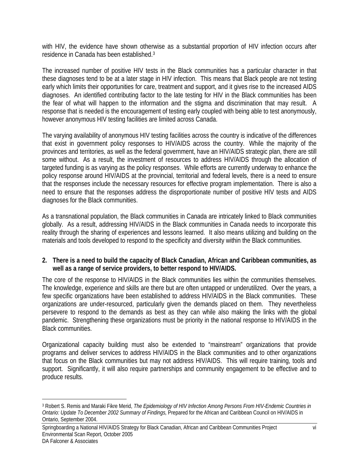with HIV, the evidence have shown otherwise as a substantial proportion of HIV infection occurs after residence in Canada has been established.3

The increased number of positive HIV tests in the Black communities has a particular character in that these diagnoses tend to be at a later stage in HIV infection. This means that Black people are not testing early which limits their opportunities for care, treatment and support, and it gives rise to the increased AIDS diagnoses. An identified contributing factor to the late testing for HIV in the Black communities has been the fear of what will happen to the information and the stigma and discrimination that may result. A response that is needed is the encouragement of testing early coupled with being able to test anonymously, however anonymous HIV testing facilities are limited across Canada.

The varying availability of anonymous HIV testing facilities across the country is indicative of the differences that exist in government policy responses to HIV/AIDS across the country. While the majority of the provinces and territories, as well as the federal government, have an HIV/AIDS strategic plan, there are still some without. As a result, the investment of resources to address HIV/AIDS through the allocation of targeted funding is as varying as the policy responses. While efforts are currently underway to enhance the policy response around HIV/AIDS at the provincial, territorial and federal levels, there is a need to ensure that the responses include the necessary resources for effective program implementation. There is also a need to ensure that the responses address the disproportionate number of positive HIV tests and AIDS diagnoses for the Black communities.

As a transnational population, the Black communities in Canada are intricately linked to Black communities globally. As a result, addressing HIV/AIDS in the Black communities in Canada needs to incorporate this reality through the sharing of experiences and lessons learned. It also means utilizing and building on the materials and tools developed to respond to the specificity and diversity within the Black communities.

#### **2. There is a need to build the capacity of Black Canadian, African and Caribbean communities, as well as a range of service providers, to better respond to HIV/AIDS.**

The core of the response to HIV/AIDS in the Black communities lies within the communities themselves. The knowledge, experience and skills are there but are often untapped or underutilized. Over the years, a few specific organizations have been established to address HIV/AIDS in the Black communities. These organizations are under-resourced, particularly given the demands placed on them. They nevertheless persevere to respond to the demands as best as they can while also making the links with the global pandemic. Strengthening these organizations must be priority in the national response to HIV/AIDS in the Black communities.

Organizational capacity building must also be extended to "mainstream" organizations that provide programs and deliver services to address HIV/AIDS in the Black communities and to other organizations that focus on the Black communities but may not address HIV/AIDS. This will require training, tools and support. Significantly, it will also require partnerships and community engagement to be effective and to produce results.

 $\overline{a}$ 

<sup>3</sup> Robert S. Remis and Maraki Fikre Merid, *The Epidemiology of HIV Infection Among Persons From HIV-Endemic Countries in Ontario: Update To December 2002 Summary of Findings,* Prepared for the African and Caribbean Council on HIV/AIDS in Ontario, September 2004.

Springboarding a National HIV/AIDS Strategy for Black Canadian, African and Caribbean Communities Project vi Environmental Scan Report, October 2005 DA Falconer & Associates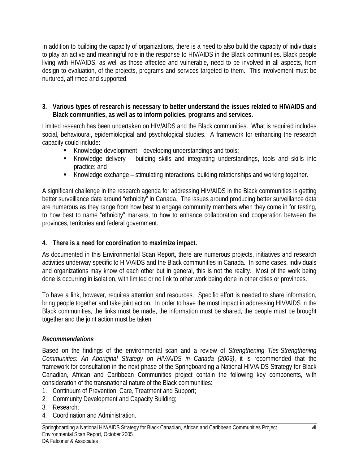In addition to building the capacity of organizations, there is a need to also build the capacity of individuals to play an active and meaningful role in the response to HIV/AIDS in the Black communities. Black people living with HIV/AIDS, as well as those affected and vulnerable, need to be involved in all aspects, from design to evaluation, of the projects, programs and services targeted to them. This involvement must be nurtured, affirmed and supported.

#### **3. Various types of research is necessary to better understand the issues related to HIV/AIDS and Black communities, as well as to inform policies, programs and services.**

Limited research has been undertaken on HIV/AIDS and the Black communities. What is required includes social, behavioural, epidemiological and psychological studies. A framework for enhancing the research capacity could include:

- Knowledge development developing understandings and tools;
- Knowledge delivery building skills and integrating understandings, tools and skills into practice; and
- Knowledge exchange stimulating interactions, building relationships and working together.

A significant challenge in the research agenda for addressing HIV/AIDS in the Black communities is getting better surveillance data around "ethnicity" in Canada. The issues around producing better surveillance data are numerous as they range from how best to engage community members when they come in for testing, to how best to name "ethnicity" markers, to how to enhance collaboration and cooperation between the provinces, territories and federal government.

## **4. There is a need for coordination to maximize impact.**

As documented in this Environmental Scan Report, there are numerous projects, initiatives and research activities underway specific to HIV/AIDS and the Black communities in Canada. In some cases, individuals and organizations may know of each other but in general, this is not the reality. Most of the work being done is occurring in isolation, with limited or no link to other work being done in other cities or provinces.

To have a link, however, requires attention and resources. Specific effort is needed to share information, bring people together and take joint action. In order to have the most impact in addressing HIV/AIDS in the Black communities, the links must be made, the information must be shared, the people must be brought together and the joint action must be taken.

## *Recommendations*

Based on the findings of the environmental scan and a review of *Strengthening Ties-Strengthening Communities: An Aboriginal Strategy on HIV/AIDS in Canada (2003)*, it is recommended that the framework for consultation in the next phase of the Springboarding a National HIV/AIDS Strategy for Black Canadian, African and Caribbean Communities project contain the following key components, with consideration of the transnational nature of the Black communities:

- 1. Continuum of Prevention, Care, Treatment and Support;
- 2. Community Development and Capacity Building;
- 3. Research;
- 4. Coordination and Administration.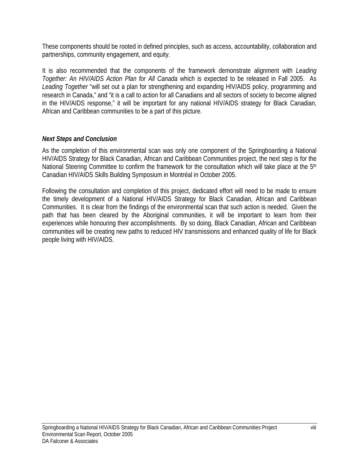These components should be rooted in defined principles, such as access, accountability, collaboration and partnerships, community engagement, and equity.

It is also recommended that the components of the framework demonstrate alignment with *Leading Together: An HIV/AIDS Action Plan for All Canada* which is expected to be released in Fall 2005. As *Leading Together* "will set out a plan for strengthening and expanding HIV/AIDS policy, programming and research in Canada," and "it is a call to action for all Canadians and all sectors of society to become aligned in the HIV/AIDS response," it will be important for any national HIV/AIDS strategy for Black Canadian, African and Caribbean communities to be a part of this picture.

#### *Next Steps and Conclusion*

As the completion of this environmental scan was only one component of the Springboarding a National HIV/AIDS Strategy for Black Canadian, African and Caribbean Communities project, the next step is for the National Steering Committee to confirm the framework for the consultation which will take place at the 5<sup>th</sup> Canadian HIV/AIDS Skills Building Symposium in Montréal in October 2005.

Following the consultation and completion of this project, dedicated effort will need to be made to ensure the timely development of a National HIV/AIDS Strategy for Black Canadian, African and Caribbean Communities. It is clear from the findings of the environmental scan that such action is needed. Given the path that has been cleared by the Aboriginal communities, it will be important to learn from their experiences while honouring their accomplishments. By so doing, Black Canadian, African and Caribbean communities will be creating new paths to reduced HIV transmissions and enhanced quality of life for Black people living with HIV/AIDS.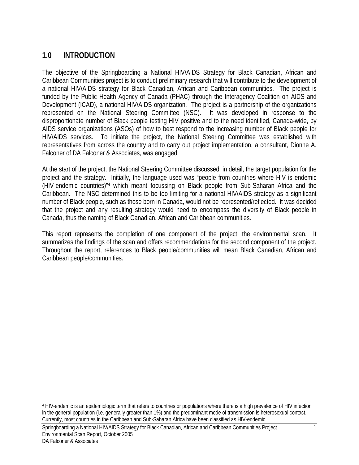# **1.0 INTRODUCTION**

The objective of the Springboarding a National HIV/AIDS Strategy for Black Canadian, African and Caribbean Communities project is to conduct preliminary research that will contribute to the development of a national HIV/AIDS strategy for Black Canadian, African and Caribbean communities. The project is funded by the Public Health Agency of Canada (PHAC) through the Interagency Coalition on AIDS and Development (ICAD), a national HIV/AIDS organization. The project is a partnership of the organizations represented on the National Steering Committee (NSC). It was developed in response to the disproportionate number of Black people testing HIV positive and to the need identified, Canada-wide, by AIDS service organizations (ASOs) of how to best respond to the increasing number of Black people for HIV/AIDS services. To initiate the project, the National Steering Committee was established with representatives from across the country and to carry out project implementation, a consultant, Dionne A. Falconer of DA Falconer & Associates, was engaged.

At the start of the project, the National Steering Committee discussed, in detail, the target population for the project and the strategy. Initially, the language used was "people from countries where HIV is endemic (HIV-endemic countries)"4 which meant focussing on Black people from Sub-Saharan Africa and the Caribbean. The NSC determined this to be too limiting for a national HIV/AIDS strategy as a significant number of Black people, such as those born in Canada, would not be represented/reflected. It was decided that the project and any resulting strategy would need to encompass the diversity of Black people in Canada, thus the naming of Black Canadian, African and Caribbean communities.

This report represents the completion of one component of the project, the environmental scan. It summarizes the findings of the scan and offers recommendations for the second component of the project. Throughout the report, references to Black people/communities will mean Black Canadian, African and Caribbean people/communities.

Springboarding a National HIV/AIDS Strategy for Black Canadian, African and Caribbean Communities Project 1 Environmental Scan Report, October 2005

 $\overline{a}$ 

<sup>4</sup> HIV-endemic is an epidemiologic term that refers to countries or populations where there is a high prevalence of HIV infection in the general population (i.e. generally greater than 1%) and the predominant mode of transmission is heterosexual contact. Currently, most countries in the Caribbean and Sub-Saharan Africa have been classified as HIV-endemic.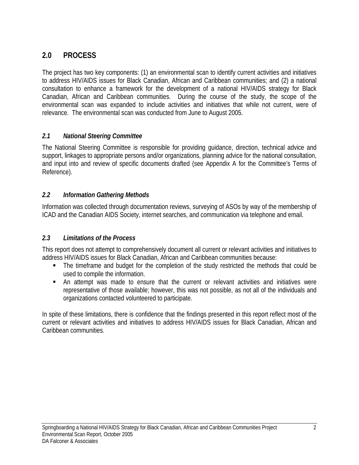# **2.0 PROCESS**

The project has two key components: (1) an environmental scan to identify current activities and initiatives to address HIV/AIDS issues for Black Canadian, African and Caribbean communities; and (2) a national consultation to enhance a framework for the development of a national HIV/AIDS strategy for Black Canadian, African and Caribbean communities. During the course of the study, the scope of the environmental scan was expanded to include activities and initiatives that while not current, were of relevance. The environmental scan was conducted from June to August 2005.

## *2.1 National Steering Committee*

The National Steering Committee is responsible for providing guidance, direction, technical advice and support, linkages to appropriate persons and/or organizations, planning advice for the national consultation, and input into and review of specific documents drafted (see Appendix A for the Committee's Terms of Reference).

## *2.2 Information Gathering Methods*

Information was collected through documentation reviews, surveying of ASOs by way of the membership of ICAD and the Canadian AIDS Society, internet searches, and communication via telephone and email.

## *2.3 Limitations of the Process*

This report does not attempt to comprehensively document all current or relevant activities and initiatives to address HIV/AIDS issues for Black Canadian, African and Caribbean communities because:

- The timeframe and budget for the completion of the study restricted the methods that could be used to compile the information.
- An attempt was made to ensure that the current or relevant activities and initiatives were representative of those available; however, this was not possible, as not all of the individuals and organizations contacted volunteered to participate.

In spite of these limitations, there is confidence that the findings presented in this report reflect most of the current or relevant activities and initiatives to address HIV/AIDS issues for Black Canadian, African and Caribbean communities.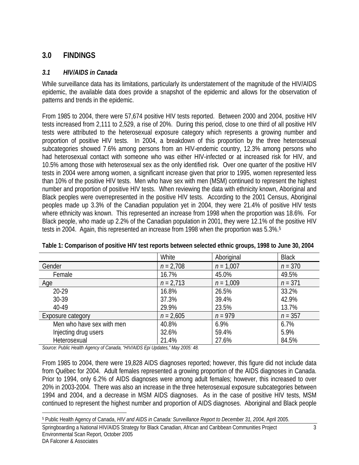# **3.0 FINDINGS**

#### *3.1 HIV/AIDS in Canada*

While surveillance data has its limitations, particularly its understatement of the magnitude of the HIV/AIDS epidemic, the available data does provide a snapshot of the epidemic and allows for the observation of patterns and trends in the epidemic.

From 1985 to 2004, there were 57,674 positive HIV tests reported. Between 2000 and 2004, positive HIV tests increased from 2,111 to 2,529, a rise of 20%. During this period, close to one third of all positive HIV tests were attributed to the heterosexual exposure category which represents a growing number and proportion of positive HIV tests. In 2004, a breakdown of this proportion by the three heterosexual subcategories showed 7.6% among persons from an HIV-endemic country, 12.3% among persons who had heterosexual contact with someone who was either HIV-infected or at increased risk for HIV, and 10.5% among those with heterosexual sex as the only identified risk. Over one quarter of the positive HIV tests in 2004 were among women, a significant increase given that prior to 1995, women represented less than 10% of the positive HIV tests. Men who have sex with men (MSM) continued to represent the highest number and proportion of positive HIV tests. When reviewing the data with ethnicity known, Aboriginal and Black peoples were overrepresented in the positive HIV tests. According to the 2001 Census, Aboriginal peoples made up 3.3% of the Canadian population yet in 2004, they were 21.4% of positive HIV tests where ethnicity was known. This represented an increase from 1998 when the proportion was 18.6%. For Black people, who made up 2.2% of the Canadian population in 2001, they were 12.1% of the positive HIV tests in 2004. Again, this represented an increase from 1998 when the proportion was 5.3%.5

|                           | White       | Aboriginal  | <b>Black</b> |
|---------------------------|-------------|-------------|--------------|
| Gender                    | $n = 2,708$ | $n = 1,007$ | $n = 370$    |
| Female                    | 16.7%       | 45.0%       | 49.5%        |
| Age                       | $n = 2,713$ | $n = 1,009$ | $n = 371$    |
| 20-29                     | 16.8%       | 26.5%       | 33.2%        |
| 30-39                     | 37.3%       | 39.4%       | 42.9%        |
| 40-49                     | 29.9%       | 23.5%       | 13.7%        |
| Exposure category         | $n = 2,605$ | $n = 979$   | $n = 357$    |
| Men who have sex with men | 40.8%       | 6.9%        | 6.7%         |
| Injecting drug users      | 32.6%       | 59.4%       | 5.9%         |
| Heterosexual              | 21.4%       | 27.6%       | 84.5%        |

**Table 1: Comparison of positive HIV test reports between selected ethnic groups, 1998 to June 30, 2004** 

*Source: Public Health Agency of Canada, "HIV/AIDS Epi Updates," May 2005: 48.* 

From 1985 to 2004, there were 19,828 AIDS diagnoses reported; however, this figure did not include data from Québec for 2004. Adult females represented a growing proportion of the AIDS diagnoses in Canada. Prior to 1994, only 6.2% of AIDS diagnoses were among adult females; however, this increased to over 20% in 2003-2004. There was also an increase in the three heterosexual exposure subcategories between 1994 and 2004, and a decrease in MSM AIDS diagnoses. As in the case of positive HIV tests, MSM continued to represent the highest number and proportion of AIDS diagnoses. Aboriginal and Black people

 $\overline{a}$ 5 Public Health Agency of Canada, *HIV and AIDS in Canada: Surveillance Report to December 31, 2004,* April 2005.

Springboarding a National HIV/AIDS Strategy for Black Canadian, African and Caribbean Communities Project 3 Environmental Scan Report, October 2005 DA Falconer & Associates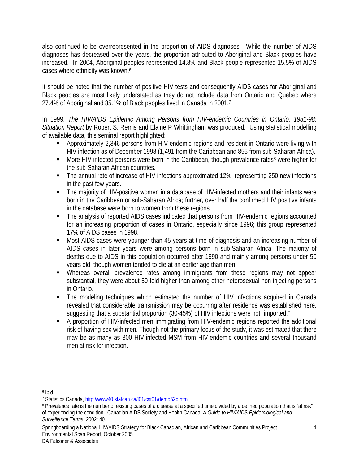also continued to be overrepresented in the proportion of AIDS diagnoses. While the number of AIDS diagnoses has decreased over the years, the proportion attributed to Aboriginal and Black peoples have increased. In 2004, Aboriginal peoples represented 14.8% and Black people represented 15.5% of AIDS cases where ethnicity was known.<sup>6</sup>

It should be noted that the number of positive HIV tests and consequently AIDS cases for Aboriginal and Black peoples are most likely understated as they do not include data from Ontario and Québec where 27.4% of Aboriginal and 85.1% of Black peoples lived in Canada in 2001.7

In 1999, *The HIV/AIDS Epidemic Among Persons from HIV-endemic Countries in Ontario, 1981-98: Situation Report* by Robert S. Remis and Elaine P Whittingham was produced. Using statistical modelling of available data, this seminal report highlighted:

- Approximately 2,346 persons from HIV-endemic regions and resident in Ontario were living with HIV infection as of December 1998 (1,491 from the Caribbean and 855 from sub-Saharan Africa).
- More HIV-infected persons were born in the Caribbean, though prevalence rates<sup>8</sup> were higher for the sub-Saharan African countries.
- The annual rate of increase of HIV infections approximated 12%, representing 250 new infections in the past few years.
- The majority of HIV-positive women in a database of HIV-infected mothers and their infants were born in the Caribbean or sub-Saharan Africa; further, over half the confirmed HIV positive infants in the database were born to women from these regions.
- The analysis of reported AIDS cases indicated that persons from HIV-endemic regions accounted for an increasing proportion of cases in Ontario, especially since 1996; this group represented 17% of AIDS cases in 1998.
- Most AIDS cases were younger than 45 years at time of diagnosis and an increasing number of AIDS cases in later years were among persons born in sub-Saharan Africa. The majority of deaths due to AIDS in this population occurred after 1990 and mainly among persons under 50 years old, though women tended to die at an earlier age than men.
- Whereas overall prevalence rates among immigrants from these regions may not appear substantial, they were about 50-fold higher than among other heterosexual non-injecting persons in Ontario.
- The modeling techniques which estimated the number of HIV infections acquired in Canada revealed that considerable transmission may be occurring after residence was established here, suggesting that a substantial proportion (30-45%) of HIV infections were not "imported."
- A proportion of HIV-infected men immigrating from HIV-endemic regions reported the additional risk of having sex with men. Though not the primary focus of the study, it was estimated that there may be as many as 300 HIV-infected MSM from HIV-endemic countries and several thousand men at risk for infection.

1

Springboarding a National HIV/AIDS Strategy for Black Canadian, African and Caribbean Communities Project 4 Environmental Scan Report, October 2005 DA Falconer & Associates

<sup>&</sup>lt;sup>6</sup> Ibid.<br>7 Statistics Canada, http://www40.statcan.ca/l01/cst01/demo52b.htm.

<sup>&</sup>lt;sup>8</sup> Prevalence rate is the number of existing cases of a disease at a specified time divided by a defined population that is "at risk" of experiencing the condition. Canadian AIDS Society and Health Canada, *A Guide to HIV/AIDS Epidemiological and Surveillance Terms,* 2002: 40.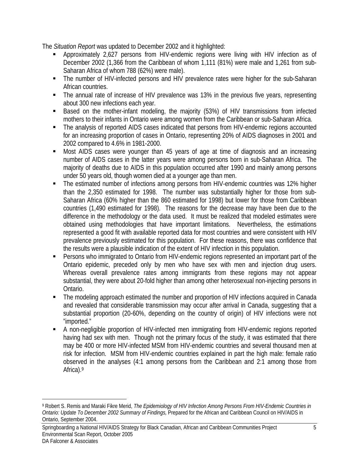The *Situation Report* was updated to December 2002 and it highlighted:

- Approximately 2,627 persons from HIV-endemic regions were living with HIV infection as of December 2002 (1,366 from the Caribbean of whom 1,111 (81%) were male and 1,261 from sub-Saharan Africa of whom 788 (62%) were male).
- The number of HIV-infected persons and HIV prevalence rates were higher for the sub-Saharan African countries.
- The annual rate of increase of HIV prevalence was 13% in the previous five years, representing about 300 new infections each year.
- Based on the mother-infant modeling, the majority (53%) of HIV transmissions from infected mothers to their infants in Ontario were among women from the Caribbean or sub-Saharan Africa.
- The analysis of reported AIDS cases indicated that persons from HIV-endemic regions accounted for an increasing proportion of cases in Ontario, representing 20% of AIDS diagnoses in 2001 and 2002 compared to 4.6% in 1981-2000.
- Most AIDS cases were younger than 45 years of age at time of diagnosis and an increasing number of AIDS cases in the latter years were among persons born in sub-Saharan Africa. The majority of deaths due to AIDS in this population occurred after 1990 and mainly among persons under 50 years old, though women died at a younger age than men.
- The estimated number of infections among persons from HIV-endemic countries was 12% higher than the 2,350 estimated for 1998. The number was substantially higher for those from sub-Saharan Africa (60% higher than the 860 estimated for 1998) but lower for those from Caribbean countries (1,490 estimated for 1998). The reasons for the decrease may have been due to the difference in the methodology or the data used. It must be realized that modeled estimates were obtained using methodologies that have important limitations. Nevertheless, the estimations represented a good fit with available reported data for most countries and were consistent with HIV prevalence previously estimated for this population. For these reasons, there was confidence that the results were a plausible indication of the extent of HIV infection in this population.
- Persons who immigrated to Ontario from HIV-endemic regions represented an important part of the Ontario epidemic, preceded only by men who have sex with men and injection drug users. Whereas overall prevalence rates among immigrants from these regions may not appear substantial, they were about 20-fold higher than among other heterosexual non-injecting persons in Ontario.
- The modeling approach estimated the number and proportion of HIV infections acquired in Canada and revealed that considerable transmission may occur after arrival in Canada, suggesting that a substantial proportion (20-60%, depending on the country of origin) of HIV infections were not "imported."
- A non-negligible proportion of HIV-infected men immigrating from HIV-endemic regions reported having had sex with men. Though not the primary focus of the study, it was estimated that there may be 400 or more HIV-infected MSM from HIV-endemic countries and several thousand men at risk for infection. MSM from HIV-endemic countries explained in part the high male: female ratio observed in the analyses (4:1 among persons from the Caribbean and 2:1 among those from Africa).9

Springboarding a National HIV/AIDS Strategy for Black Canadian, African and Caribbean Communities Project 5 Environmental Scan Report, October 2005 DA Falconer & Associates

 $\overline{a}$ 

<sup>9</sup> Robert S. Remis and Maraki Fikre Merid, *The Epidemiology of HIV Infection Among Persons From HIV-Endemic Countries in Ontario: Update To December 2002 Summary of Findings,* Prepared for the African and Caribbean Council on HIV/AIDS in Ontario, September 2004.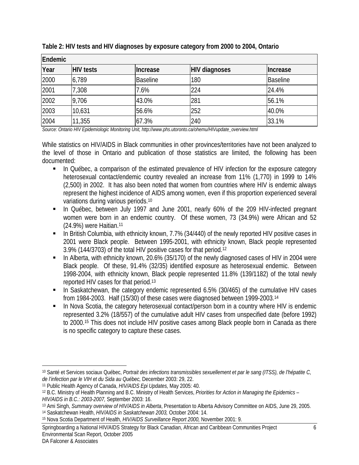| Endemic |                  |                 |                      |                 |  |
|---------|------------------|-----------------|----------------------|-----------------|--|
| Year    | <b>HIV tests</b> | Increase        | <b>HIV diagnoses</b> | Increase        |  |
| 2000    | 6,789            | <b>Baseline</b> | 180                  | <b>Baseline</b> |  |
| 2001    | 7,308            | 7.6%            | 224                  | 24.4%           |  |
| 2002    | 9,706            | 43.0%           | 281                  | 56.1%           |  |
| 2003    | 10,631           | 56.6%           | 252                  | 40.0%           |  |
| 2004    | 11,355           | 67.3%           | 240                  | 33.1%           |  |

**Table 2: HIV tests and HIV diagnoses by exposure category from 2000 to 2004, Ontario** 

*Source: Ontario HIV Epidemiologic Monitoring Unit, http://www.phs.utoronto.ca/ohemu/HIVupdate\_overview.html* 

While statistics on HIV/AIDS in Black communities in other provinces/territories have not been analyzed to the level of those in Ontario and publication of those statistics are limited, the following has been documented:

- In Québec, a comparison of the estimated prevalence of HIV infection for the exposure category heterosexual contact/endemic country revealed an increase from 11% (1,770) in 1999 to 14% (2,500) in 2002. It has also been noted that women from countries where HIV is endemic always represent the highest incidence of AIDS among women, even if this proportion experienced several variations during various periods.10
- In Québec, between July 1997 and June 2001, nearly 60% of the 209 HIV-infected pregnant women were born in an endemic country. Of these women, 73 (34.9%) were African and 52 (24.9%) were Haitian.11
- In British Columbia, with ethnicity known, 7.7% (34/440) of the newly reported HIV positive cases in 2001 were Black people. Between 1995-2001, with ethnicity known, Black people represented 3.9% (144/3703) of the total HIV positive cases for that period.12
- In Alberta, with ethnicity known, 20.6% (35/170) of the newly diagnosed cases of HIV in 2004 were Black people. Of these, 91.4% (32/35) identified exposure as heterosexual endemic. Between 1998-2004, with ethnicity known, Black people represented 11.8% (139/1182) of the total newly reported HIV cases for that period.13
- In Saskatchewan, the category endemic represented 6.5% (30/465) of the cumulative HIV cases from 1984-2003. Half (15/30) of these cases were diagnosed between 1999-2003.14
- **In Nova Scotia, the category heterosexual contact/person born in a country where HIV is endemic** represented 3.2% (18/557) of the cumulative adult HIV cases from unspecified date (before 1992) to 2000.15 This does not include HIV positive cases among Black people born in Canada as there is no specific category to capture these cases.

 $\overline{a}$ 10 Santé et Services sociaux Québec, *Portrait des infections transmissibles sexuellement et par le sang (ITSS), de l'hépatite C, de l'infection par le VIH et du Sida au Québec,* December 2003: 29, 22.

<sup>11</sup> Public Health Agency of Canada, *HIV/AIDS Epi Updates,* May 2005: 40.

<sup>12</sup> B.C. Ministry of Health Planning and B.C. Ministry of Health Services, *Priorities for Action in Managing the Epidemics – HIV/AIDS in B.C.: 2003-2007,* September 2003: 16.

<sup>13</sup> Ami Singh, *Summary overview of HIV/AIDS in Alberta*, Presentation to Alberta Advisory Committee on AIDS, June 29, 2005. 14 Saskatchewan Health, *HIV/AIDS in Saskatchewan 2003,* October 2004: 14.

<sup>15</sup> Nova Scotia Department of Health, *HIV/AIDS Surveillance Report 2000,* November 2001: 9.

Springboarding a National HIV/AIDS Strategy for Black Canadian, African and Caribbean Communities Project 6 Environmental Scan Report, October 2005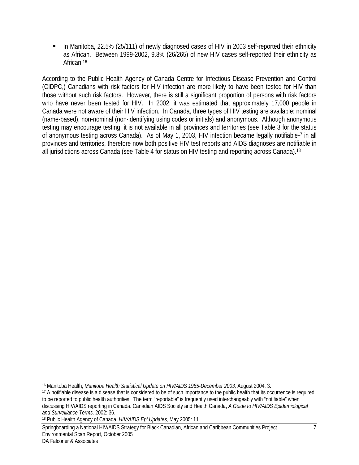In Manitoba, 22.5% (25/111) of newly diagnosed cases of HIV in 2003 self-reported their ethnicity as African. Between 1999-2002, 9.8% (26/265) of new HIV cases self-reported their ethnicity as African.16

According to the Public Health Agency of Canada Centre for Infectious Disease Prevention and Control (CIDPC,) Canadians with risk factors for HIV infection are more likely to have been tested for HIV than those without such risk factors. However, there is still a significant proportion of persons with risk factors who have never been tested for HIV. In 2002, it was estimated that approximately 17,000 people in Canada were not aware of their HIV infection. In Canada, three types of HIV testing are available: nominal (name-based), non-nominal (non-identifying using codes or initials) and anonymous. Although anonymous testing may encourage testing, it is not available in all provinces and territories (see Table 3 for the status of anonymous testing across Canada). As of May 1, 2003, HIV infection became legally notifiable17 in all provinces and territories, therefore now both positive HIV test reports and AIDS diagnoses are notifiable in all jurisdictions across Canada (see Table 4 for status on HIV testing and reporting across Canada).18

1

<sup>16</sup> Manitoba Health, *Manitoba Health Statistical Update on HIV/AIDS 1985-December 2003,* August 2004: 3.

<sup>17</sup> A notifiable disease is a disease that is considered to be of such importance to the public health that its occurrence is required to be reported to public health authorities. The term "reportable" is frequently used interchangeably with "notifiable" when discussing HIV/AIDS reporting in Canada. Canadian AIDS Society and Health Canada, *A Guide to HIV/AIDS Epidemiological and Surveillance Terms,* 2002: 36.

<sup>18</sup> Public Health Agency of Canada, *HIV/AIDS Epi Updates,* May 2005: 11.

Springboarding a National HIV/AIDS Strategy for Black Canadian, African and Caribbean Communities Project 7 Environmental Scan Report, October 2005 DA Falconer & Associates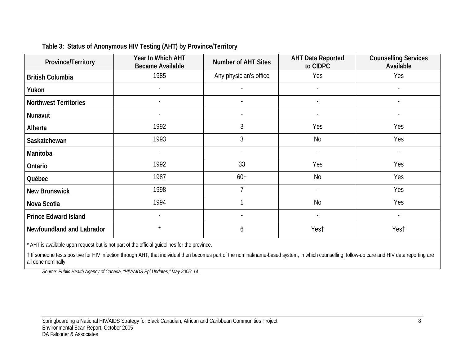| Province/Territory           | Year In Which AHT<br><b>Became Available</b> | <b>Number of AHT Sites</b> | <b>AHT Data Reported</b><br>to CIDPC | <b>Counselling Services</b><br>Available |
|------------------------------|----------------------------------------------|----------------------------|--------------------------------------|------------------------------------------|
| <b>British Columbia</b>      | 1985                                         | Any physician's office     | Yes                                  | Yes                                      |
| Yukon                        | $\blacksquare$                               | $\blacksquare$             | $\sim$                               | $\sim$                                   |
| <b>Northwest Territories</b> |                                              |                            |                                      |                                          |
| Nunavut                      | $\sim$                                       | $\overline{\phantom{a}}$   | $\overline{\phantom{a}}$             | $\sim$                                   |
| Alberta                      | 1992                                         | 3                          | Yes                                  | Yes                                      |
| Saskatchewan                 | 1993                                         | 3                          | <b>No</b>                            | Yes                                      |
| Manitoba                     | $\blacksquare$                               | $\overline{\phantom{a}}$   | $\sim$                               | $\sim$                                   |
| Ontario                      | 1992                                         | 33                         | Yes                                  | Yes                                      |
| Québec                       | 1987                                         | $60+$                      | No                                   | Yes                                      |
| <b>New Brunswick</b>         | 1998                                         | 7                          |                                      | Yes                                      |
| Nova Scotia                  | 1994                                         |                            | <b>No</b>                            | Yes                                      |
| <b>Prince Edward Island</b>  |                                              |                            |                                      |                                          |
| Newfoundland and Labrador    | $\star$                                      | 6                          | Yest                                 | Yest                                     |

## **Table 3: Status of Anonymous HIV Testing (AHT) by Province/Territory**

\* AHT is available upon request but is not part of the official guidelines for the province.

† If someone tests positive for HIV infection through AHT, that individual then becomes part of the nominal/name-based system, in which counselling, follow-up care and HIV data reporting are all done nominally.

*Source: Public Health Agency of Canada, "HIV/AIDS Epi Updates," May 2005: 14.*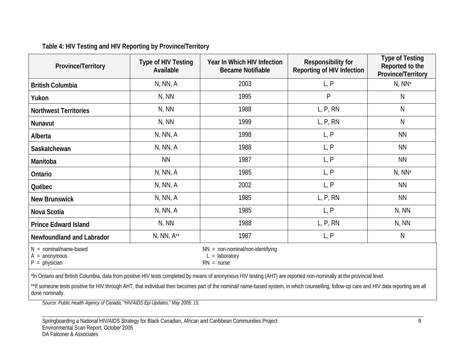## **Table 4: HIV Testing and HIV Reporting by Province/Territory**

| Province/Territory                                            | Type of HIV Testing<br>Available | Year In Which HIV Infection<br><b>Became Notifiable</b>                | Responsibility for<br>Reporting of HIV Infection | <b>Type of Testing</b><br>Reported to the<br>Province/Territory |
|---------------------------------------------------------------|----------------------------------|------------------------------------------------------------------------|--------------------------------------------------|-----------------------------------------------------------------|
| <b>British Columbia</b>                                       | N, NN, A                         | 2003                                                                   | L, P                                             | $N, NN^*$                                                       |
| Yukon                                                         | N, NN                            | 1995                                                                   | P                                                | N                                                               |
| <b>Northwest Territories</b>                                  | N, NN                            | 1988                                                                   | L, P, RN                                         | N                                                               |
| Nunavut                                                       | N, NN                            | 1999                                                                   | L, P, RN                                         | N                                                               |
| Alberta                                                       | N, NN, A                         | 1998                                                                   | L, P                                             | <b>NN</b>                                                       |
| Saskatchewan                                                  | N, NN, A                         | 1988                                                                   | L, P                                             | <b>NN</b>                                                       |
| Manitoba                                                      | <b>NN</b>                        | 1987                                                                   | L, P                                             | <b>NN</b>                                                       |
| Ontario                                                       | N, NN, A                         | 1985                                                                   | L, P                                             | $N, NN^*$                                                       |
| Québec                                                        | N, NN, A                         | 2002                                                                   | L, P                                             | <b>NN</b>                                                       |
| <b>New Brunswick</b>                                          | N, NN, A                         | 1985                                                                   | L, P, RN                                         | <b>NN</b>                                                       |
| Nova Scotia                                                   | N, NN, A                         | 1985                                                                   | L, P                                             | N, NN                                                           |
| <b>Prince Edward Island</b>                                   | N, NN                            | 1988                                                                   | L, P, RN                                         | N, NN                                                           |
| <b>Newfoundland and Labrador</b>                              | $N, NN, A^{**}$                  | 1987                                                                   | L, P                                             | N                                                               |
| $N =$ nominal/name-based<br>$A =$ anonymous<br>$P = physical$ |                                  | $NN = non-nominal/non-identitying$<br>$L =$ laboratory<br>$RN = nurse$ |                                                  |                                                                 |

\*In Ontario and British Columbia, data from positive HIV tests completed by means of anonymous HIV testing (AHT) are reported non-nominally at the provincial level.

\*\*If someone tests positive for HIV through AHT, that individual then becomes part of the nominal/ name-based system, in which counselling, follow-up care and HIV data reporting are all done nominally.

*Source: Public Health Agency of Canada, "HIV/AIDS Epi Updates," May 2005: 13.* 

Springboarding a National HIV/AIDS Strategy for Black Canadian, African and Caribbean Communities Project 9 Environmental Scan Report, October 2005 DA Falconer & Associates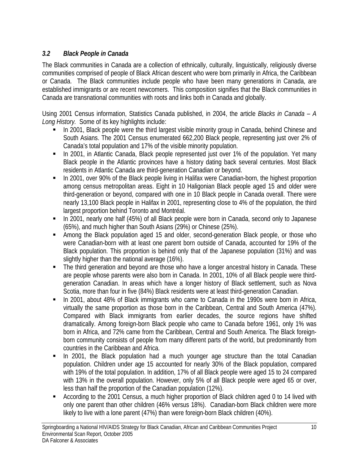# *3.2 Black People in Canada*

The Black communities in Canada are a collection of ethnically, culturally, linguistically, religiously diverse communities comprised of people of Black African descent who were born primarily in Africa, the Caribbean or Canada. The Black communities include people who have been many generations in Canada, are established immigrants or are recent newcomers. This composition signifies that the Black communities in Canada are transnational communities with roots and links both in Canada and globally.

Using 2001 Census information, Statistics Canada published, in 2004, the article *Blacks in Canada – A Long History.* Some of its key highlights include:

- In 2001, Black people were the third largest visible minority group in Canada, behind Chinese and South Asians. The 2001 Census enumerated 662,200 Black people, representing just over 2% of Canada's total population and 17% of the visible minority population.
- In 2001, in Atlantic Canada, Black people represented just over 1% of the population. Yet many Black people in the Atlantic provinces have a history dating back several centuries. Most Black residents in Atlantic Canada are third-generation Canadian or beyond.
- In 2001, over 90% of the Black people living in Halifax were Canadian-born, the highest proportion among census metropolitan areas. Eight in 10 Haligonian Black people aged 15 and older were third-generation or beyond, compared with one in 10 Black people in Canada overall. There were nearly 13,100 Black people in Halifax in 2001, representing close to 4% of the population, the third largest proportion behind Toronto and Montréal.
- In 2001, nearly one half (45%) of all Black people were born in Canada, second only to Japanese (65%), and much higher than South Asians (29%) or Chinese (25%).
- Among the Black population aged 15 and older, second-generation Black people, or those who were Canadian-born with at least one parent born outside of Canada, accounted for 19% of the Black population. This proportion is behind only that of the Japanese population (31%) and was slightly higher than the national average (16%).
- The third generation and beyond are those who have a longer ancestral history in Canada. These are people whose parents were also born in Canada. In 2001, 10% of all Black people were thirdgeneration Canadian. In areas which have a longer history of Black settlement, such as Nova Scotia, more than four in five (84%) Black residents were at least third-generation Canadian.
- In 2001, about 48% of Black immigrants who came to Canada in the 1990s were born in Africa, virtually the same proportion as those born in the Caribbean, Central and South America (47%). Compared with Black immigrants from earlier decades, the source regions have shifted dramatically. Among foreign-born Black people who came to Canada before 1961, only 1% was born in Africa, and 72% came from the Caribbean, Central and South America. The Black foreignborn community consists of people from many different parts of the world, but predominantly from countries in the Caribbean and Africa.
- In 2001, the Black population had a much younger age structure than the total Canadian population. Children under age 15 accounted for nearly 30% of the Black population, compared with 19% of the total population. In addition, 17% of all Black people were aged 15 to 24 compared with 13% in the overall population. However, only 5% of all Black people were aged 65 or over, less than half the proportion of the Canadian population (12%).
- According to the 2001 Census, a much higher proportion of Black children aged 0 to 14 lived with only one parent than other children (46% versus 18%). Canadian-born Black children were more likely to live with a lone parent (47%) than were foreign-born Black children (40%).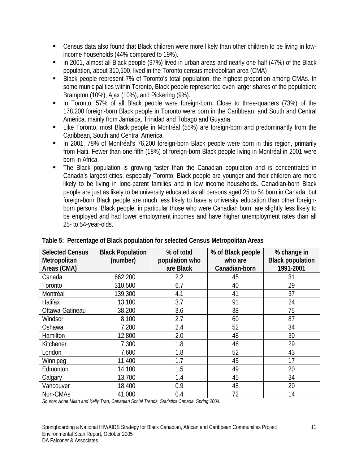- Census data also found that Black children were more likely than other children to be living in lowincome households (44% compared to 19%).
- In 2001, almost all Black people (97%) lived in urban areas and nearly one half (47%) of the Black population, about 310,500, lived in the Toronto census metropolitan area (CMA)
- Black people represent 7% of Toronto's total population, the highest proportion among CMAs. In some municipalities within Toronto, Black people represented even larger shares of the population: Brampton (10%), Ajax (10%), and Pickering (9%).
- In Toronto, 57% of all Black people were foreign-born. Close to three-quarters (73%) of the 178,200 foreign-born Black people in Toronto were born in the Caribbean, and South and Central America, mainly from Jamaica, Trinidad and Tobago and Guyana.
- **EXTE:** Like Toronto, most Black people in Montréal (55%) are foreign-born and predominantly from the Caribbean, South and Central America.
- In 2001, 78% of Montréal's 76,200 foreign-born Black people were born in this region, primarily from Haiti. Fewer than one fifth (18%) of foreign-born Black people living in Montréal in 2001 were born in Africa.
- The Black population is growing faster than the Canadian population and is concentrated in Canada's largest cities, especially Toronto. Black people are younger and their children are more likely to be living in lone-parent families and in low income households. Canadian-born Black people are just as likely to be university educated as all persons aged 25 to 54 born in Canada, but foreign-born Black people are much less likely to have a university education than other foreignborn persons. Black people, in particular those who were Canadian born, are slightly less likely to be employed and had lower employment incomes and have higher unemployment rates than all 25- to 54-year-olds.

| <b>Selected Census</b><br>Metropolitan | <b>Black Population</b><br>(number) | % of total<br>population who | % of Black people<br>who are | % change in<br><b>Black population</b> |
|----------------------------------------|-------------------------------------|------------------------------|------------------------------|----------------------------------------|
| Areas (CMA)                            |                                     | are Black                    | Canadian-born                | 1991-2001                              |
| Canada                                 | 662,200                             | 2.2                          | 45                           | 31                                     |
| Toronto                                | 310,500                             | 6.7                          | 40                           | 29                                     |
| Montréal                               | 139,300                             | 4.1                          | 41                           | 37                                     |
| Halifax                                | 13,100                              | 3.7                          | 91                           | 24                                     |
| Ottawa-Gatineau                        | 38,200                              | 3.6                          | 38                           | 75                                     |
| Windsor                                | 8,100                               | 2.7                          | 60                           | 87                                     |
| Oshawa                                 | 7,200                               | 2.4                          | 52                           | 34                                     |
| Hamilton                               | 12,800                              | 2.0                          | 48                           | 30                                     |
| Kitchener                              | 7,300                               | 1.8                          | 46                           | 29                                     |
| London                                 | 7,600                               | 1.8                          | 52                           | 43                                     |
| Winnipeg                               | 11,400                              | 1.7                          | 45                           | 17                                     |
| Edmonton                               | 14,100                              | 1.5                          | 49                           | 20                                     |
| Calgary                                | 13,700                              | 1.4                          | 45                           | 34                                     |
| Vancouver                              | 18,400                              | 0.9                          | 48                           | 20                                     |
| Non-CMAs                               | 41,000                              | 0.4                          | 72                           | 14                                     |

**Table 5: Percentage of Black population for selected Census Metropolitan Areas** 

*Source: Anne Milan and Kelly Tran, Canadian Social Trends, Statistics Canada, Spring 2004.*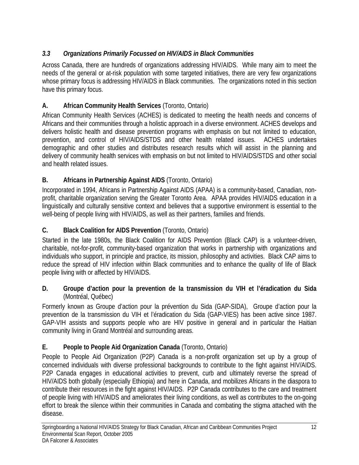# *3.3 Organizations Primarily Focussed on HIV/AIDS in Black Communities*

Across Canada, there are hundreds of organizations addressing HIV/AIDS. While many aim to meet the needs of the general or at-risk population with some targeted initiatives, there are very few organizations whose primary focus is addressing HIV/AIDS in Black communities. The organizations noted in this section have this primary focus.

# **A. African Community Health Services** (Toronto, Ontario)

African Community Health Services (ACHES) is dedicated to meeting the health needs and concerns of Africans and their communities through a holistic approach in a diverse environment. ACHES develops and delivers holistic health and disease prevention programs with emphasis on but not limited to education, prevention, and control of HIV/AIDS/STDS and other health related issues. ACHES undertakes demographic and other studies and distributes research results which will assist in the planning and delivery of community health services with emphasis on but not limited to HIV/AIDS/STDS and other social and health related issues.

# **B. Africans in Partnership Against AIDS** (Toronto, Ontario)

Incorporated in 1994, Africans in Partnership Against AIDS (APAA) is a community-based, Canadian, nonprofit, charitable organization serving the Greater Toronto Area. APAA provides HIV/AIDS education in a linguistically and culturally sensitive context and believes that a supportive environment is essential to the well-being of people living with HIV/AIDS, as well as their partners, families and friends.

# **C. Black Coalition for AIDS Prevention** (Toronto, Ontario)

Started in the late 1980s, the Black Coalition for AIDS Prevention (Black CAP) is a volunteer-driven, charitable, not-for-profit, community-based organization that works in partnership with organizations and individuals who support, in principle and practice, its mission, philosophy and activities. Black CAP aims to reduce the spread of HIV infection within Black communities and to enhance the quality of life of Black people living with or affected by HIV/AIDS.

#### **D. Groupe d'action pour la prevention de la transmission du VIH et l'éradication du Sida**  (Montréal, Québec)

Formerly known as Groupe d'action pour la prévention du Sida (GAP-SIDA), Groupe d'action pour la prevention de la transmission du VIH et l'éradication du Sida (GAP-VIES) has been active since 1987. GAP-VIH assists and supports people who are HIV positive in general and in particular the Haitian community living in Grand Montréal and surrounding areas.

# **E. People to People Aid Organization Canada** (Toronto, Ontario)

People to People Aid Organization (P2P) Canada is a non-profit organization set up by a group of concerned individuals with diverse professional backgrounds to contribute to the fight against HIV/AIDS. P2P Canada engages in educational activities to prevent, curb and ultimately reverse the spread of HIV/AIDS both globally (especially Ethiopia) and here in Canada, and mobilizes Africans in the diaspora to contribute their resources in the fight against HIV/AIDS. P2P Canada contributes to the care and treatment of people living with HIV/AIDS and ameliorates their living conditions, as well as contributes to the on-going effort to break the silence within their communities in Canada and combating the stigma attached with the disease.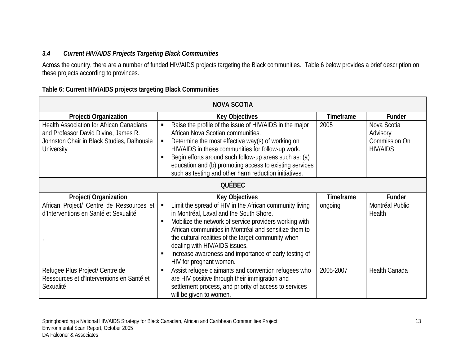# *3.4 Current HIV/AIDS Projects Targeting Black Communities*

Across the country, there are a number of funded HIV/AIDS projects targeting the Black communities. Table 6 below provides a brief description on these projects according to provinces.

| Table 6: Current HIV/AIDS projects targeting Black Communities |  |  |
|----------------------------------------------------------------|--|--|
|                                                                |  |  |

| <b>NOVA SCOTIA</b>                                                                                                                                         |                                                                                                                                                                                                                                                                                                                                                                                                   |                  |                                                             |  |
|------------------------------------------------------------------------------------------------------------------------------------------------------------|---------------------------------------------------------------------------------------------------------------------------------------------------------------------------------------------------------------------------------------------------------------------------------------------------------------------------------------------------------------------------------------------------|------------------|-------------------------------------------------------------|--|
| <b>Project/ Organization</b>                                                                                                                               | <b>Key Objectives</b>                                                                                                                                                                                                                                                                                                                                                                             | <b>Timeframe</b> | Funder                                                      |  |
| <b>Health Association for African Canadians</b><br>and Professor David Divine, James R.<br>Johnston Chair in Black Studies, Dalhousie<br><b>University</b> | Raise the profile of the issue of HIV/AIDS in the major<br>African Nova Scotian communities.<br>Determine the most effective way(s) of working on<br>HIV/AIDS in these communities for follow-up work.<br>Begin efforts around such follow-up areas such as: (a)<br>education and (b) promoting access to existing services<br>such as testing and other harm reduction initiatives.              | 2005             | Nova Scotia<br>Advisory<br>Commission On<br><b>HIV/AIDS</b> |  |
|                                                                                                                                                            | <b>QUÉBEC</b>                                                                                                                                                                                                                                                                                                                                                                                     |                  |                                                             |  |
|                                                                                                                                                            |                                                                                                                                                                                                                                                                                                                                                                                                   |                  |                                                             |  |
| <b>Project/ Organization</b>                                                                                                                               | <b>Key Objectives</b>                                                                                                                                                                                                                                                                                                                                                                             | <b>Timeframe</b> | Funder                                                      |  |
| African Project/ Centre de Ressources et<br>d'Interventions en Santé et Sexualité                                                                          | Limit the spread of HIV in the African community living<br>in Montréal, Laval and the South Shore.<br>Mobilize the network of service providers working with<br>African communities in Montréal and sensitize them to<br>the cultural realities of the target community when<br>dealing with HIV/AIDS issues.<br>Increase awareness and importance of early testing of<br>HIV for pregnant women. | ongoing          | Montréal Public<br>Health                                   |  |
| Refugee Plus Project/ Centre de<br>Ressources et d'Interventions en Santé et<br>Sexualité                                                                  | Assist refugee claimants and convention refugees who<br>are HIV positive through their immigration and<br>settlement process, and priority of access to services<br>will be given to women.                                                                                                                                                                                                       | 2005-2007        | Health Canada                                               |  |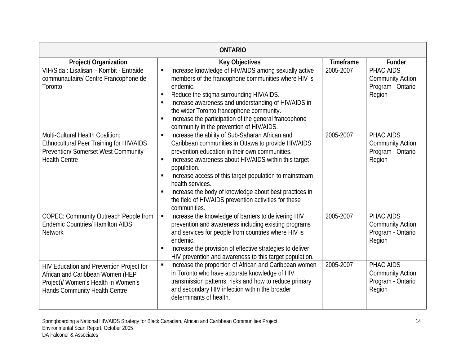| <b>ONTARIO</b>                                                                                                                                       |                                                                                                                                                                                                                                                                                                                                                                                                                                                                                             |                  |                                                                     |  |  |
|------------------------------------------------------------------------------------------------------------------------------------------------------|---------------------------------------------------------------------------------------------------------------------------------------------------------------------------------------------------------------------------------------------------------------------------------------------------------------------------------------------------------------------------------------------------------------------------------------------------------------------------------------------|------------------|---------------------------------------------------------------------|--|--|
| Project/ Organization                                                                                                                                | <b>Key Objectives</b>                                                                                                                                                                                                                                                                                                                                                                                                                                                                       | <b>Timeframe</b> | <b>Funder</b>                                                       |  |  |
| VIH/Sida : Lisalisani - Kombit - Entraide<br>communautaire/ Centre Francophone de<br>Toronto                                                         | Increase knowledge of HIV/AIDS among sexually active<br>members of the francophone communities where HIV is<br>endemic.<br>Reduce the stigma surrounding HIV/AIDS.<br>Increase awareness and understanding of HIV/AIDS in<br>the wider Toronto francophone community.<br>Increase the participation of the general francophone<br>community in the prevention of HIV/AIDS.                                                                                                                  | 2005-2007        | PHAC AIDS<br><b>Community Action</b><br>Program - Ontario<br>Region |  |  |
| <b>Multi-Cultural Health Coalition:</b><br>Ethnocultural Peer Training for HIV/AIDS<br>Prevention/ Somerset West Community<br><b>Health Centre</b>   | Increase the ability of Sub-Saharan African and<br>$\blacksquare$<br>Caribbean communities in Ottawa to provide HIV/AIDS<br>prevention education in their own communities.<br>Increase awareness about HIV/AIDS within this target<br>π.<br>population.<br>Increase access of this target population to mainstream<br>$\blacksquare$<br>health services.<br>Increase the body of knowledge about best practices in<br>the field of HIV/AIDS prevention activities for these<br>communities. | 2005-2007        | PHAC AIDS<br><b>Community Action</b><br>Program - Ontario<br>Region |  |  |
| <b>COPEC: Community Outreach People from</b><br><b>Endemic Countries/ Hamilton AIDS</b><br><b>Network</b>                                            | Increase the knowledge of barriers to delivering HIV<br>П<br>prevention and awareness including existing programs<br>and services for people from countries where HIV is<br>endemic.<br>Increase the provision of effective strategies to deliver<br>HIV prevention and awareness to this target population.                                                                                                                                                                                | 2005-2007        | PHAC AIDS<br><b>Community Action</b><br>Program - Ontario<br>Region |  |  |
| HIV Education and Prevention Project for<br>African and Caribbean Women (HEP<br>Project)/ Women's Health in Women's<br>Hands Community Health Centre | Increase the proportion of African and Caribbean women<br>$\blacksquare$<br>in Toronto who have accurate knowledge of HIV<br>transmission patterns, risks and how to reduce primary<br>and secondary HIV infection within the broader<br>determinants of health.                                                                                                                                                                                                                            | 2005-2007        | PHAC AIDS<br><b>Community Action</b><br>Program - Ontario<br>Region |  |  |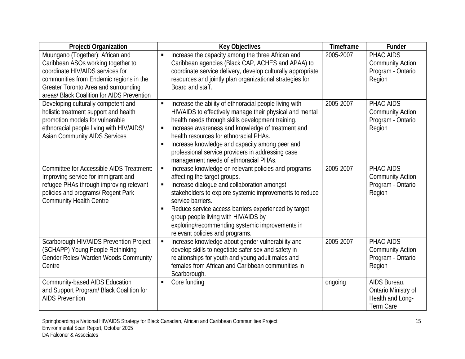| <b>Project/ Organization</b>                                                                                                                                                                                                                | <b>Key Objectives</b>                                                                                                                                                                                                                                                                                                                                                                                                                         | Timeframe | <b>Funder</b>                                                        |
|---------------------------------------------------------------------------------------------------------------------------------------------------------------------------------------------------------------------------------------------|-----------------------------------------------------------------------------------------------------------------------------------------------------------------------------------------------------------------------------------------------------------------------------------------------------------------------------------------------------------------------------------------------------------------------------------------------|-----------|----------------------------------------------------------------------|
| Muungano (Together): African and<br>Caribbean ASOs working together to<br>coordinate HIV/AIDS services for<br>communities from Endemic regions in the<br>Greater Toronto Area and surrounding<br>areas/ Black Coalition for AIDS Prevention | Increase the capacity among the three African and<br>٠<br>Caribbean agencies (Black CAP, ACHES and APAA) to<br>coordinate service delivery, develop culturally appropriate<br>resources and jointly plan organizational strategies for<br>Board and staff.                                                                                                                                                                                    | 2005-2007 | PHAC AIDS<br><b>Community Action</b><br>Program - Ontario<br>Region  |
| Developing culturally competent and<br>holistic treatment support and health<br>promotion models for vulnerable<br>ethnoracial people living with HIV/AIDS/<br><b>Asian Community AIDS Services</b>                                         | Increase the ability of ethnoracial people living with<br>HIV/AIDS to effectively manage their physical and mental<br>health needs through skills development training.<br>Increase awareness and knowledge of treatment and<br>health resources for ethnoracial PHAs.<br>Increase knowledge and capacity among peer and<br>$\blacksquare$<br>professional service providers in addressing case<br>management needs of ethnoracial PHAs.      | 2005-2007 | PHAC AIDS<br><b>Community Action</b><br>Program - Ontario<br>Region  |
| <b>Committee for Accessible AIDS Treatment:</b><br>Improving service for immigrant and<br>refugee PHAs through improving relevant<br>policies and programs/ Regent Park<br><b>Community Health Centre</b>                                   | Increase knowledge on relevant policies and programs<br>affecting the target groups.<br>Increase dialogue and collaboration amongst<br>$\blacksquare$<br>stakeholders to explore systemic improvements to reduce<br>service barriers.<br>Reduce service access barriers experienced by target<br>$\blacksquare$<br>group people living with HIV/AIDS by<br>exploring/recommending systemic improvements in<br>relevant policies and programs. | 2005-2007 | PHAC AIDS<br><b>Community Action</b><br>Program - Ontario<br>Region  |
| Scarborough HIV/AIDS Prevention Project<br>(SCHAPP) Young People Rethinking<br>Gender Roles/ Warden Woods Community<br>Centre                                                                                                               | Increase knowledge about gender vulnerability and<br>$\blacksquare$<br>develop skills to negotiate safer sex and safety in<br>relationships for youth and young adult males and<br>females from African and Caribbean communities in<br>Scarborough.                                                                                                                                                                                          | 2005-2007 | PHAC AIDS<br><b>Community Action</b><br>Program - Ontario<br>Region  |
| Community-based AIDS Education<br>and Support Program/ Black Coalition for<br><b>AIDS Prevention</b>                                                                                                                                        | Core funding<br>$\blacksquare$                                                                                                                                                                                                                                                                                                                                                                                                                | ongoing   | AIDS Bureau,<br>Ontario Ministry of<br>Health and Long-<br>Term Care |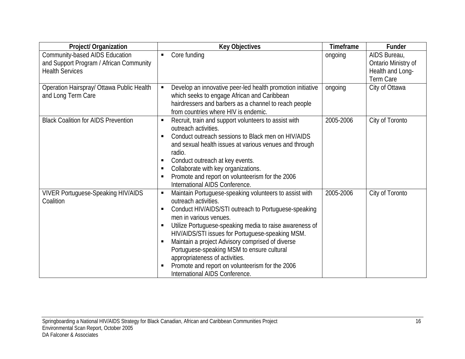| Project/ Organization                                                                               | <b>Key Objectives</b>                                                                                                                                                                                                                                                                                                                                                                                                                                                                                                                     | Timeframe | Funder                                                               |
|-----------------------------------------------------------------------------------------------------|-------------------------------------------------------------------------------------------------------------------------------------------------------------------------------------------------------------------------------------------------------------------------------------------------------------------------------------------------------------------------------------------------------------------------------------------------------------------------------------------------------------------------------------------|-----------|----------------------------------------------------------------------|
| Community-based AIDS Education<br>and Support Program / African Community<br><b>Health Services</b> | Core funding                                                                                                                                                                                                                                                                                                                                                                                                                                                                                                                              | ongoing   | AIDS Bureau,<br>Ontario Ministry of<br>Health and Long-<br>Term Care |
| Operation Hairspray/ Ottawa Public Health<br>and Long Term Care                                     | Develop an innovative peer-led health promotion initiative<br>which seeks to engage African and Caribbean<br>hairdressers and barbers as a channel to reach people<br>from countries where HIV is endemic.                                                                                                                                                                                                                                                                                                                                | ongoing   | City of Ottawa                                                       |
| <b>Black Coalition for AIDS Prevention</b>                                                          | Recruit, train and support volunteers to assist with<br>outreach activities.<br>Conduct outreach sessions to Black men on HIV/AIDS<br>٠<br>and sexual health issues at various venues and through<br>radio.<br>Conduct outreach at key events.<br>ш<br>Collaborate with key organizations.<br>п<br>Promote and report on volunteerism for the 2006<br>International AIDS Conference.                                                                                                                                                      | 2005-2006 | City of Toronto                                                      |
| <b>VIVER Portuguese-Speaking HIV/AIDS</b><br>Coalition                                              | Maintain Portuguese-speaking volunteers to assist with<br>п<br>outreach activities.<br>Conduct HIV/AIDS/STI outreach to Portuguese-speaking<br>п<br>men in various venues.<br>Utilize Portuguese-speaking media to raise awareness of<br>٠<br>HIV/AIDS/STI issues for Portuguese-speaking MSM.<br>Maintain a project Advisory comprised of diverse<br>$\blacksquare$<br>Portuguese-speaking MSM to ensure cultural<br>appropriateness of activities.<br>Promote and report on volunteerism for the 2006<br>International AIDS Conference. | 2005-2006 | City of Toronto                                                      |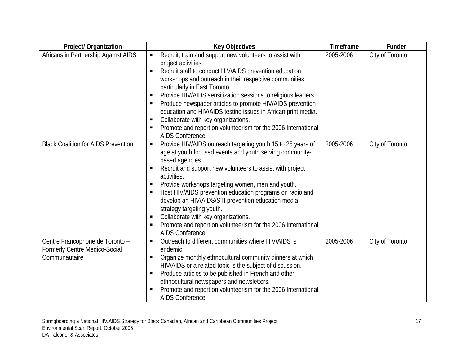| Project/ Organization                                                             | <b>Key Objectives</b>                                                                                                                                                                                                                                                                                                                                                                                                                                                                                                                                                                                                                                          | Timeframe | Funder          |
|-----------------------------------------------------------------------------------|----------------------------------------------------------------------------------------------------------------------------------------------------------------------------------------------------------------------------------------------------------------------------------------------------------------------------------------------------------------------------------------------------------------------------------------------------------------------------------------------------------------------------------------------------------------------------------------------------------------------------------------------------------------|-----------|-----------------|
| Africans in Partnership Against AIDS                                              | Recruit, train and support new volunteers to assist with<br>п<br>project activities.<br>Recruit staff to conduct HIV/AIDS prevention education<br>$\blacksquare$<br>workshops and outreach in their respective communities<br>particularly in East Toronto.<br>Provide HIV/AIDS sensitization sessions to religious leaders.<br>$\blacksquare$<br>Produce newspaper articles to promote HIV/AIDS prevention<br>$\blacksquare$<br>education and HIV/AIDS testing issues in African print media.<br>Collaborate with key organizations.<br>$\blacksquare$<br>Promote and report on volunteerism for the 2006 International<br>$\blacksquare$<br>AIDS Conference. | 2005-2006 | City of Toronto |
| <b>Black Coalition for AIDS Prevention</b>                                        | Provide HIV/AIDS outreach targeting youth 15 to 25 years of<br>П<br>age at youth focused events and youth serving community-<br>based agencies.<br>Recruit and support new volunteers to assist with project<br>$\blacksquare$<br>activities.<br>Provide workshops targeting women, men and youth.<br>п<br>Host HIV/AIDS prevention education programs on radio and<br>в<br>develop an HIV/AIDS/STI prevention education media<br>strategy targeting youth.<br>Collaborate with key organizations.<br>$\blacksquare$<br>Promote and report on volunteerism for the 2006 International<br>$\blacksquare$<br>AIDS Conference.                                    | 2005-2006 | City of Toronto |
| Centre Francophone de Toronto -<br>Formerly Centre Medico-Social<br>Communautaire | Outreach to different communities where HIV/AIDS is<br>$\blacksquare$<br>endemic.<br>Organize monthly ethnocultural community dinners at which<br>п<br>HIV/AIDS or a related topic is the subject of discussion.<br>Produce articles to be published in French and other<br>$\blacksquare$<br>ethnocultural newspapers and newsletters.<br>Promote and report on volunteerism for the 2006 International<br>$\blacksquare$<br><b>AIDS Conference</b>                                                                                                                                                                                                           | 2005-2006 | City of Toronto |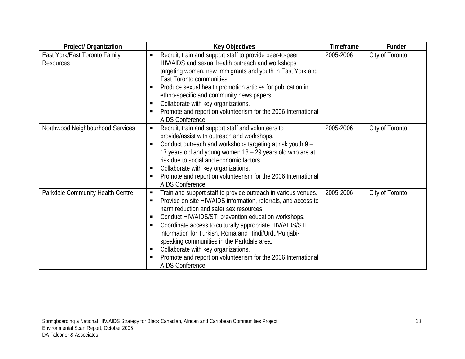| Project/ Organization                             | <b>Key Objectives</b>                                                                                                                                                                                                                                                                                                                                                                                                                                                                                                                                                    | Timeframe | Funder          |
|---------------------------------------------------|--------------------------------------------------------------------------------------------------------------------------------------------------------------------------------------------------------------------------------------------------------------------------------------------------------------------------------------------------------------------------------------------------------------------------------------------------------------------------------------------------------------------------------------------------------------------------|-----------|-----------------|
| East York/East Toronto Family<br><b>Resources</b> | Recruit, train and support staff to provide peer-to-peer<br>HIV/AIDS and sexual health outreach and workshops<br>targeting women, new immigrants and youth in East York and<br>East Toronto communities.<br>Produce sexual health promotion articles for publication in<br>ethno-specific and community news papers.<br>Collaborate with key organizations.<br>п<br>Promote and report on volunteerism for the 2006 International<br>л<br>AIDS Conference.                                                                                                               | 2005-2006 | City of Toronto |
| Northwood Neighbourhood Services                  | Recruit, train and support staff and volunteers to<br>п<br>provide/assist with outreach and workshops.<br>Conduct outreach and workshops targeting at risk youth 9 -<br>17 years old and young women 18 - 29 years old who are at<br>risk due to social and economic factors.<br>Collaborate with key organizations.<br>п<br>Promote and report on volunteerism for the 2006 International<br>л<br>AIDS Conference.                                                                                                                                                      | 2005-2006 | City of Toronto |
| Parkdale Community Health Centre                  | Train and support staff to provide outreach in various venues.<br>в<br>Provide on-site HIV/AIDS information, referrals, and access to<br>$\blacksquare$<br>harm reduction and safer sex resources.<br>Conduct HIV/AIDS/STI prevention education workshops.<br>п<br>Coordinate access to culturally appropriate HIV/AIDS/STI<br>п<br>information for Turkish, Roma and Hindi/Urdu/Punjabi-<br>speaking communities in the Parkdale area.<br>Collaborate with key organizations.<br>п<br>Promote and report on volunteerism for the 2006 International<br>AIDS Conference. | 2005-2006 | City of Toronto |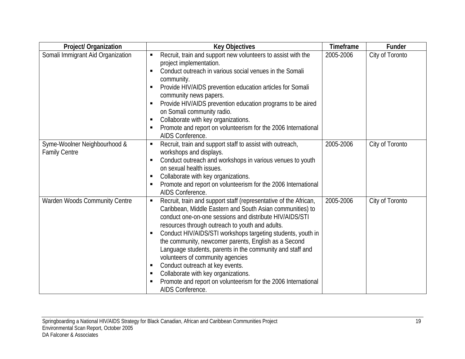| Project/ Organization                                | <b>Key Objectives</b>                                                                                                                                                                                                                                                                                                                                                                                                                                                                                                                                                                                                                                                     | Timeframe | Funder          |
|------------------------------------------------------|---------------------------------------------------------------------------------------------------------------------------------------------------------------------------------------------------------------------------------------------------------------------------------------------------------------------------------------------------------------------------------------------------------------------------------------------------------------------------------------------------------------------------------------------------------------------------------------------------------------------------------------------------------------------------|-----------|-----------------|
| Somali Immigrant Aid Organization                    | Recruit, train and support new volunteers to assist with the<br>project implementation.<br>Conduct outreach in various social venues in the Somali<br>п<br>community.<br>Provide HIV/AIDS prevention education articles for Somali<br>$\blacksquare$<br>community news papers.<br>Provide HIV/AIDS prevention education programs to be aired<br>$\blacksquare$<br>on Somali community radio.<br>Collaborate with key organizations.<br>п<br>Promote and report on volunteerism for the 2006 International<br>Е<br>AIDS Conference.                                                                                                                                        | 2005-2006 | City of Toronto |
| Syme-Woolner Neighbourhood &<br><b>Family Centre</b> | Recruit, train and support staff to assist with outreach,<br>п<br>workshops and displays.<br>Conduct outreach and workshops in various venues to youth<br>п<br>on sexual health issues.<br>Collaborate with key organizations.<br>п<br>Promote and report on volunteerism for the 2006 International<br>$\blacksquare$<br>AIDS Conference.                                                                                                                                                                                                                                                                                                                                | 2005-2006 | City of Toronto |
| Warden Woods Community Centre                        | Recruit, train and support staff (representative of the African,<br>$\blacksquare$<br>Caribbean, Middle Eastern and South Asian communities) to<br>conduct one-on-one sessions and distribute HIV/AIDS/STI<br>resources through outreach to youth and adults.<br>Conduct HIV/AIDS/STI workshops targeting students, youth in<br>the community, newcomer parents, English as a Second<br>Language students, parents in the community and staff and<br>volunteers of community agencies<br>Conduct outreach at key events.<br>п<br>Collaborate with key organizations.<br>в<br>Promote and report on volunteerism for the 2006 International<br>п<br><b>AIDS Conference</b> | 2005-2006 | City of Toronto |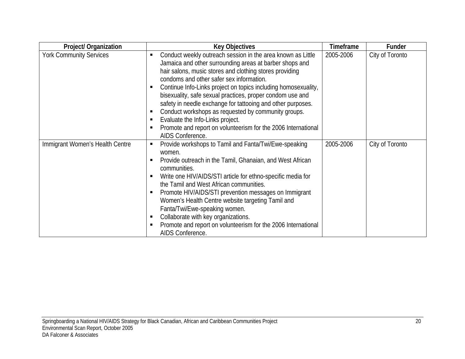| <b>Project/ Organization</b>    | <b>Key Objectives</b>                                                                                                                                                                                                                                                                                                                                                                                                                                                                                                                                                                                            | Timeframe | Funder          |
|---------------------------------|------------------------------------------------------------------------------------------------------------------------------------------------------------------------------------------------------------------------------------------------------------------------------------------------------------------------------------------------------------------------------------------------------------------------------------------------------------------------------------------------------------------------------------------------------------------------------------------------------------------|-----------|-----------------|
| <b>York Community Services</b>  | Conduct weekly outreach session in the area known as Little<br>Jamaica and other surrounding areas at barber shops and<br>hair salons, music stores and clothing stores providing<br>condoms and other safer sex information.<br>Continue Info-Links project on topics including homosexuality,<br>٠<br>bisexuality, safe sexual practices, proper condom use and<br>safety in needle exchange for tattooing and other purposes.<br>Conduct workshops as requested by community groups.<br>Evaluate the Info-Links project.<br>Promote and report on volunteerism for the 2006 International<br>AIDS Conference. | 2005-2006 | City of Toronto |
| Immigrant Women's Health Centre | Provide workshops to Tamil and Fanta/Twi/Ewe-speaking<br>п<br>women.<br>Provide outreach in the Tamil, Ghanaian, and West African<br>п<br>communities.<br>Write one HIV/AIDS/STI article for ethno-specific media for<br>٠<br>the Tamil and West African communities.<br>Promote HIV/AIDS/STI prevention messages on Immigrant<br>Women's Health Centre website targeting Tamil and<br>Fanta/Twi/Ewe-speaking women.<br>Collaborate with key organizations.<br>Promote and report on volunteerism for the 2006 International<br>AIDS Conference.                                                                 | 2005-2006 | City of Toronto |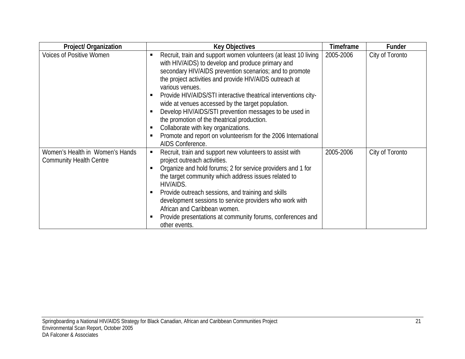| Project/ Organization                                             | <b>Key Objectives</b>                                                                                                                                                                                                                                                                                                                                                                                                                                                                                                                                                                                                           | <b>Timeframe</b> | Funder          |
|-------------------------------------------------------------------|---------------------------------------------------------------------------------------------------------------------------------------------------------------------------------------------------------------------------------------------------------------------------------------------------------------------------------------------------------------------------------------------------------------------------------------------------------------------------------------------------------------------------------------------------------------------------------------------------------------------------------|------------------|-----------------|
| <b>Voices of Positive Women</b>                                   | Recruit, train and support women volunteers (at least 10 living<br>٠<br>with HIV/AIDS) to develop and produce primary and<br>secondary HIV/AIDS prevention scenarios; and to promote<br>the project activities and provide HIV/AIDS outreach at<br>various venues.<br>Provide HIV/AIDS/STI interactive theatrical interventions city-<br>wide at venues accessed by the target population.<br>Develop HIV/AIDS/STI prevention messages to be used in<br>the promotion of the theatrical production.<br>Collaborate with key organizations.<br>Promote and report on volunteerism for the 2006 International<br>AIDS Conference. | 2005-2006        | City of Toronto |
| Women's Health in Women's Hands<br><b>Community Health Centre</b> | Recruit, train and support new volunteers to assist with<br>٠<br>project outreach activities.<br>Organize and hold forums; 2 for service providers and 1 for<br>the target community which address issues related to<br>HIV/AIDS.<br>Provide outreach sessions, and training and skills<br>п<br>development sessions to service providers who work with<br>African and Caribbean women.<br>Provide presentations at community forums, conferences and<br>other events.                                                                                                                                                          | 2005-2006        | City of Toronto |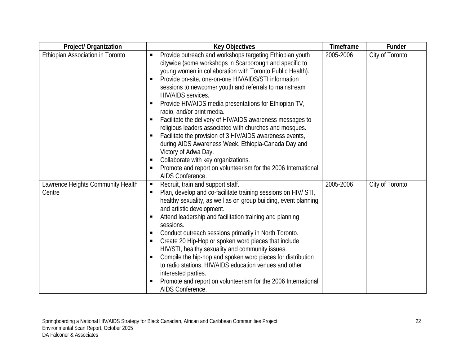| Project/ Organization                       | <b>Key Objectives</b>                                                                                                                                                                                                                                                                                                                                                                                                                                                                                                                                                                                                                                                                                                                                                                                                                                | Timeframe | Funder          |
|---------------------------------------------|------------------------------------------------------------------------------------------------------------------------------------------------------------------------------------------------------------------------------------------------------------------------------------------------------------------------------------------------------------------------------------------------------------------------------------------------------------------------------------------------------------------------------------------------------------------------------------------------------------------------------------------------------------------------------------------------------------------------------------------------------------------------------------------------------------------------------------------------------|-----------|-----------------|
| Ethiopian Association in Toronto            | Provide outreach and workshops targeting Ethiopian youth<br>П<br>citywide (some workshops in Scarborough and specific to<br>young women in collaboration with Toronto Public Health).<br>Provide on-site, one-on-one HIV/AIDS/STI information<br>п<br>sessions to newcomer youth and referrals to mainstream<br><b>HIV/AIDS</b> services.<br>Provide HIV/AIDS media presentations for Ethiopian TV,<br>п<br>radio, and/or print media.<br>Facilitate the delivery of HIV/AIDS awareness messages to<br>п<br>religious leaders associated with churches and mosques.<br>Facilitate the provision of 3 HIV/AIDS awareness events,<br>during AIDS Awareness Week, Ethiopia-Canada Day and<br>Victory of Adwa Day.<br>Collaborate with key organizations.<br>П<br>Promote and report on volunteerism for the 2006 International<br>п<br>AIDS Conference. | 2005-2006 | City of Toronto |
| Lawrence Heights Community Health<br>Centre | Recruit, train and support staff.<br>$\blacksquare$<br>Plan, develop and co-facilitate training sessions on HIV/ STI,<br>П<br>healthy sexuality, as well as on group building, event planning<br>and artistic development.<br>Attend leadership and facilitation training and planning<br>п<br>sessions.<br>Conduct outreach sessions primarily in North Toronto.<br>п<br>Create 20 Hip-Hop or spoken word pieces that include<br>П<br>HIV/STI, healthy sexuality and community issues.<br>Compile the hip-hop and spoken word pieces for distribution<br>П<br>to radio stations, HIV/AIDS education venues and other<br>interested parties.<br>Promote and report on volunteerism for the 2006 International<br>П<br>AIDS Conference.                                                                                                               | 2005-2006 | City of Toronto |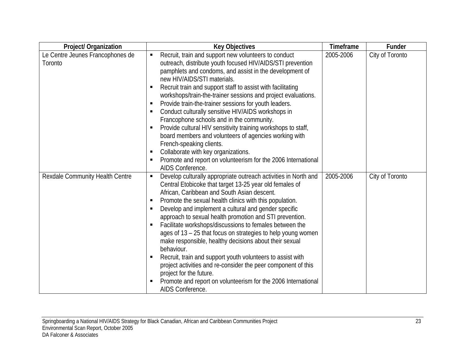| Project/ Organization                       | <b>Key Objectives</b>                                                                                                                                                                                                                                                                                                                                                                                                                                                                                                                                                                                                                                                                                                                                                                                                                   | Timeframe | Funder          |
|---------------------------------------------|-----------------------------------------------------------------------------------------------------------------------------------------------------------------------------------------------------------------------------------------------------------------------------------------------------------------------------------------------------------------------------------------------------------------------------------------------------------------------------------------------------------------------------------------------------------------------------------------------------------------------------------------------------------------------------------------------------------------------------------------------------------------------------------------------------------------------------------------|-----------|-----------------|
| Le Centre Jeunes Francophones de<br>Toronto | Recruit, train and support new volunteers to conduct<br>outreach, distribute youth focused HIV/AIDS/STI prevention<br>pamphlets and condoms, and assist in the development of<br>new HIV/AIDS/STI materials.<br>Recruit train and support staff to assist with facilitating<br>П<br>workshops/train-the-trainer sessions and project evaluations.<br>Provide train-the-trainer sessions for youth leaders.<br>П<br>Conduct culturally sensitive HIV/AIDS workshops in<br>Е<br>Francophone schools and in the community.<br>Provide cultural HIV sensitivity training workshops to staff,<br>п<br>board members and volunteers of agencies working with<br>French-speaking clients.<br>Collaborate with key organizations.<br>п<br>Promote and report on volunteerism for the 2006 International<br>П<br>AIDS Conference.                | 2005-2006 | City of Toronto |
| Rexdale Community Health Centre             | Develop culturally appropriate outreach activities in North and<br>П<br>Central Etobicoke that target 13-25 year old females of<br>African, Caribbean and South Asian descent.<br>Promote the sexual health clinics with this population.<br>П<br>Develop and implement a cultural and gender specific<br>П<br>approach to sexual health promotion and STI prevention.<br>Facilitate workshops/discussions to females between the<br>П<br>ages of 13 – 25 that focus on strategies to help young women<br>make responsible, healthy decisions about their sexual<br>behaviour.<br>Recruit, train and support youth volunteers to assist with<br>п<br>project activities and re-consider the peer component of this<br>project for the future.<br>Promote and report on volunteerism for the 2006 International<br>П<br>AIDS Conference. | 2005-2006 | City of Toronto |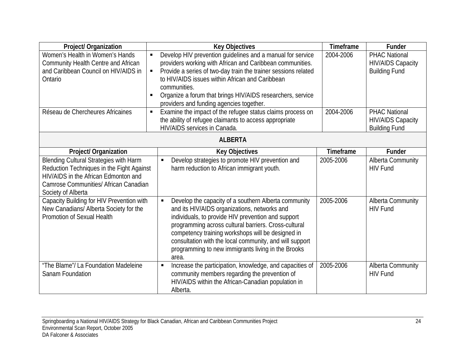| Project/ Organization                                                                                                                                                                      | <b>Key Objectives</b>                                                                                                                                                                                                                                                                                                                                                                             | Timeframe | <b>Funder</b>                                                            |
|--------------------------------------------------------------------------------------------------------------------------------------------------------------------------------------------|---------------------------------------------------------------------------------------------------------------------------------------------------------------------------------------------------------------------------------------------------------------------------------------------------------------------------------------------------------------------------------------------------|-----------|--------------------------------------------------------------------------|
| Women's Health in Women's Hands<br>Community Health Centre and African<br>and Caribbean Council on HIV/AIDS in<br>Ontario                                                                  | Develop HIV prevention guidelines and a manual for service<br>providers working with African and Caribbean communities.<br>Provide a series of two-day train the trainer sessions related<br>to HIV/AIDS issues within African and Caribbean<br>communities.<br>Organize a forum that brings HIV/AIDS researchers, service<br>providers and funding agencies together.                            | 2004-2006 | <b>PHAC National</b><br><b>HIV/AIDS Capacity</b><br><b>Building Fund</b> |
| Réseau de Chercheures Africaines                                                                                                                                                           | Examine the impact of the refugee status claims process on<br>$\blacksquare$<br>the ability of refugee claimants to access appropriate<br>HIV/AIDS services in Canada.                                                                                                                                                                                                                            | 2004-2006 | <b>PHAC National</b><br><b>HIV/AIDS Capacity</b><br><b>Building Fund</b> |
|                                                                                                                                                                                            | <b>ALBERTA</b>                                                                                                                                                                                                                                                                                                                                                                                    |           |                                                                          |
| Project/ Organization                                                                                                                                                                      | <b>Key Objectives</b>                                                                                                                                                                                                                                                                                                                                                                             | Timeframe | <b>Funder</b>                                                            |
| Blending Cultural Strategies with Harm<br>Reduction Techniques in the Fight Against<br>HIV/AIDS in the African Edmonton and<br>Camrose Communities/ African Canadian<br>Society of Alberta | Develop strategies to promote HIV prevention and<br>harm reduction to African immigrant youth.                                                                                                                                                                                                                                                                                                    | 2005-2006 | <b>Alberta Community</b><br><b>HIV Fund</b>                              |
| Capacity Building for HIV Prevention with<br>New Canadians/ Alberta Society for the<br>Promotion of Sexual Health                                                                          | Develop the capacity of a southern Alberta community<br>and its HIV/AIDS organizations, networks and<br>individuals, to provide HIV prevention and support<br>programming across cultural barriers. Cross-cultural<br>competency training workshops will be designed in<br>consultation with the local community, and will support<br>programming to new immigrants living in the Brooks<br>area. | 2005-2006 | Alberta Community<br><b>HIV Fund</b>                                     |
| "The Blame"/ La Foundation Madeleine<br>Sanam Foundation                                                                                                                                   | Increase the participation, knowledge, and capacities of<br>$\blacksquare$<br>community members regarding the prevention of<br>HIV/AIDS within the African-Canadian population in<br>Alberta.                                                                                                                                                                                                     | 2005-2006 | <b>Alberta Community</b><br><b>HIV Fund</b>                              |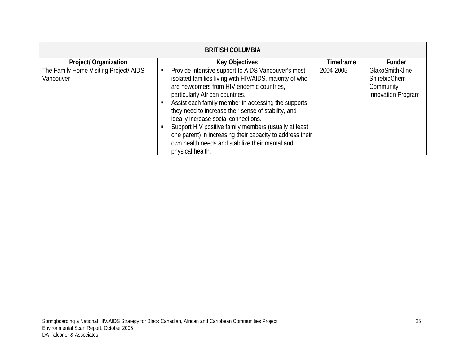| <b>BRITISH COLUMBIA</b>                             |                                                                                                                                                                                                                                                                                                                                                                                                                                                                                                                                                  |           |                                                                     |  |  |
|-----------------------------------------------------|--------------------------------------------------------------------------------------------------------------------------------------------------------------------------------------------------------------------------------------------------------------------------------------------------------------------------------------------------------------------------------------------------------------------------------------------------------------------------------------------------------------------------------------------------|-----------|---------------------------------------------------------------------|--|--|
| Project/ Organization                               | <b>Key Objectives</b>                                                                                                                                                                                                                                                                                                                                                                                                                                                                                                                            | Timeframe | <b>Funder</b>                                                       |  |  |
| The Family Home Visiting Project/ AIDS<br>Vancouver | Provide intensive support to AIDS Vancouver's most<br>isolated families living with HIV/AIDS, majority of who<br>are newcomers from HIV endemic countries,<br>particularly African countries.<br>Assist each family member in accessing the supports<br>they need to increase their sense of stability, and<br>ideally increase social connections.<br>Support HIV positive family members (usually at least<br>one parent) in increasing their capacity to address their<br>own health needs and stabilize their mental and<br>physical health. | 2004-2005 | GlaxoSmithKline-<br>ShirebioChem<br>Community<br>Innovation Program |  |  |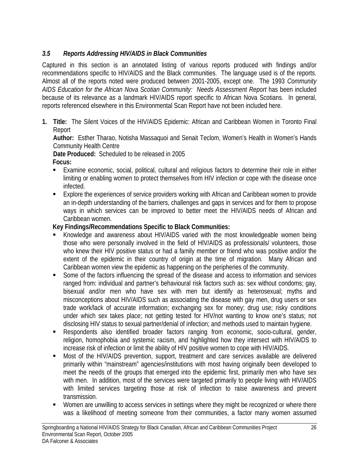# *3.5 Reports Addressing HIV/AIDS in Black Communities*

Captured in this section is an annotated listing of various reports produced with findings and/or recommendations specific to HIV/AIDS and the Black communities. The language used is of the reports. Almost all of the reports noted were produced between 2001-2005, except one. The 1993 *Community AIDS Education for the African Nova Scotian Community: Needs Assessment Report* has been included because of its relevance as a landmark HIV/AIDS report specific to African Nova Scotians. In general, reports referenced elsewhere in this Environmental Scan Report have not been included here.

**1. Title:** The Silent Voices of the HIV/AIDS Epidemic: African and Caribbean Women in Toronto Final Report

**Author:** Esther Tharao, Notisha Massaquoi and Senait Teclom, Women's Health in Women's Hands Community Health Centre

**Date Produced:** Scheduled to be released in 2005

**Focus:**

- Examine economic, social, political, cultural and religious factors to determine their role in either limiting or enabling women to protect themselves from HIV infection or cope with the disease once infected.
- Explore the experiences of service providers working with African and Caribbean women to provide an in-depth understanding of the barriers, challenges and gaps in services and for them to propose ways in which services can be improved to better meet the HIV/AIDS needs of African and Caribbean women.

- Knowledge and awareness about HIV/AIDS varied with the most knowledgeable women being those who were personally involved in the field of HIV/AIDS as professionals/ volunteers, those who knew their HIV positive status or had a family member or friend who was positive and/or the extent of the epidemic in their country of origin at the time of migration. Many African and Caribbean women view the epidemic as happening on the peripheries of the community.
- Some of the factors influencing the spread of the disease and access to information and services ranged from: individual and partner's behavioural risk factors such as: sex without condoms; gay, bisexual and/or men who have sex with men but identify as heterosexual; myths and misconceptions about HIV/AIDS such as associating the disease with gay men, drug users or sex trade work/lack of accurate information; exchanging sex for money; drug use; risky conditions under which sex takes place; not getting tested for HIV/not wanting to know one's status; not disclosing HIV status to sexual partner/denial of infection; and methods used to maintain hygiene.
- Respondents also identified broader factors ranging from economic, socio-cultural, gender, religion, homophobia and systemic racism, and highlighted how they intersect with HIV/AIDS to increase risk of infection or limit the ability of HIV positive women to cope with HIV/AIDS.
- Most of the HIV/AIDS prevention, support, treatment and care services available are delivered primarily within "mainstream" agencies/institutions with most having originally been developed to meet the needs of the groups that emerged into the epidemic first, primarily men who have sex with men. In addition, most of the services were targeted primarily to people living with HIV/AIDS with limited services targeting those at risk of infection to raise awareness and prevent transmission.
- Women are unwilling to access services in settings where they might be recognized or where there was a likelihood of meeting someone from their communities, a factor many women assumed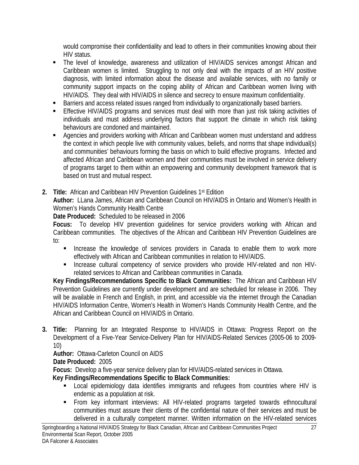would compromise their confidentiality and lead to others in their communities knowing about their HIV status.

- The level of knowledge, awareness and utilization of HIV/AIDS services amongst African and Caribbean women is limited. Struggling to not only deal with the impacts of an HIV positive diagnosis, with limited information about the disease and available services, with no family or community support impacts on the coping ability of African and Caribbean women living with HIV/AIDS. They deal with HIV/AIDS in silence and secrecy to ensure maximum confidentiality.
- **Barriers and access related issues ranged from individually to organizationally based barriers.**
- **Effective HIV/AIDS programs and services must deal with more than just risk taking activities of** individuals and must address underlying factors that support the climate in which risk taking behaviours are condoned and maintained.
- **Agencies and providers working with African and Caribbean women must understand and address** the context in which people live with community values, beliefs, and norms that shape individual(s) and communities' behaviours forming the basis on which to build effective programs. Infected and affected African and Caribbean women and their communities must be involved in service delivery of programs target to them within an empowering and community development framework that is based on trust and mutual respect.
- **2. Title:** African and Caribbean HIV Prevention Guidelines 1st Edition

**Author:** LLana James, African and Caribbean Council on HIV/AIDS in Ontario and Women's Health in Women's Hands Community Health Centre

**Date Produced:** Scheduled to be released in 2006

**Focus:** To develop HIV prevention guidelines for service providers working with African and Caribbean communities. The objectives of the African and Caribbean HIV Prevention Guidelines are to:

- **Increase the knowledge of services providers in Canada to enable them to work more** effectively with African and Caribbean communities in relation to HIV/AIDS.
- **Increase cultural competency of service providers who provide HIV-related and non HIV**related services to African and Caribbean communities in Canada.

**Key Findings/Recommendations Specific to Black Communities:** The African and Caribbean HIV Prevention Guidelines are currently under development and are scheduled for release in 2006. They will be available in French and English, in print, and accessible via the internet through the Canadian HIV/AIDS Information Centre, Women's Health in Women's Hands Community Health Centre, and the African and Caribbean Council on HIV/AIDS in Ontario.

**3. Title:** Planning for an Integrated Response to HIV/AIDS in Ottawa: Progress Report on the Development of a Five-Year Service-Delivery Plan for HIV/AIDS-Related Services (2005-06 to 2009- 10)

## **Author:** Ottawa-Carleton Council on AIDS

## **Date Produced:** 2005

**Focus:** Develop a five-year service delivery plan for HIV/AIDS-related services in Ottawa.

- **EXECT** Local epidemiology data identifies immigrants and refugees from countries where HIV is endemic as a population at risk.
- From key informant interviews: All HIV-related programs targeted towards ethnocultural communities must assure their clients of the confidential nature of their services and must be delivered in a culturally competent manner. Written information on the HIV-related services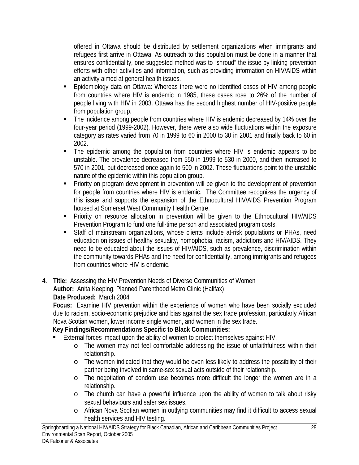offered in Ottawa should be distributed by settlement organizations when immigrants and refugees first arrive in Ottawa. As outreach to this population must be done in a manner that ensures confidentiality, one suggested method was to "shroud" the issue by linking prevention efforts with other activities and information, such as providing information on HIV/AIDS within an activity aimed at general health issues.

- Epidemiology data on Ottawa: Whereas there were no identified cases of HIV among people from countries where HIV is endemic in 1985, these cases rose to 26% of the number of people living with HIV in 2003. Ottawa has the second highest number of HIV-positive people from population group.
- The incidence among people from countries where HIV is endemic decreased by 14% over the four-year period (1999-2002). However, there were also wide fluctuations within the exposure category as rates varied from 70 in 1999 to 60 in 2000 to 30 in 2001 and finally back to 60 in 2002.
- The epidemic among the population from countries where HIV is endemic appears to be unstable. The prevalence decreased from 550 in 1999 to 530 in 2000, and then increased to 570 in 2001, but decreased once again to 500 in 2002. These fluctuations point to the unstable nature of the epidemic within this population group.
- Priority on program development in prevention will be given to the development of prevention for people from countries where HIV is endemic. The Committee recognizes the urgency of this issue and supports the expansion of the Ethnocultural HIV/AIDS Prevention Program housed at Somerset West Community Health Centre.
- **Priority on resource allocation in prevention will be given to the Ethnocultural HIV/AIDS** Prevention Program to fund one full-time person and associated program costs.
- Staff of mainstream organizations, whose clients include at-risk populations or PHAs, need education on issues of healthy sexuality, homophobia, racism, addictions and HIV/AIDS. They need to be educated about the issues of HIV/AIDS, such as prevalence, discrimination within the community towards PHAs and the need for confidentiality, among immigrants and refugees from countries where HIV is endemic.
- **4. Title:** Assessing the HIV Prevention Needs of Diverse Communities of Women **Author:** Anita Keeping, Planned Parenthood Metro Clinic (Halifax) **Date Produced:** March 2004

**Focus:** Examine HIV prevention within the experience of women who have been socially excluded due to racism, socio-economic prejudice and bias against the sex trade profession, particularly African Nova Scotian women, lower income single women, and women in the sex trade.

- External forces impact upon the ability of women to protect themselves against HIV.
	- o The women may not feel comfortable addressing the issue of unfaithfulness within their relationship.
	- o The women indicated that they would be even less likely to address the possibility of their partner being involved in same-sex sexual acts outside of their relationship.
	- o The negotiation of condom use becomes more difficult the longer the women are in a relationship.
	- o The church can have a powerful influence upon the ability of women to talk about risky sexual behaviours and safer sex issues.
	- o African Nova Scotian women in outlying communities may find it difficult to access sexual health services and HIV testing.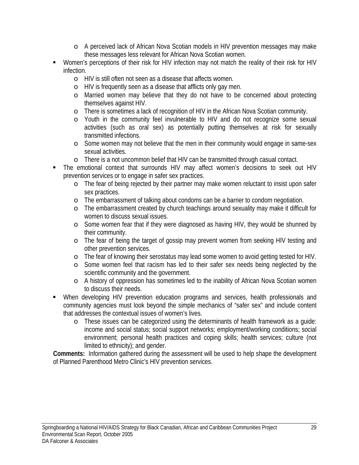- o A perceived lack of African Nova Scotian models in HIV prevention messages may make these messages less relevant for African Nova Scotian women.
- Women's perceptions of their risk for HIV infection may not match the reality of their risk for HIV infection.
	- o HIV is still often not seen as a disease that affects women.
	- o HIV is frequently seen as a disease that afflicts only gay men.
	- o Married women may believe that they do not have to be concerned about protecting themselves against HIV.
	- o There is sometimes a lack of recognition of HIV in the African Nova Scotian community.
	- o Youth in the community feel invulnerable to HIV and do not recognize some sexual activities (such as oral sex) as potentially putting themselves at risk for sexually transmitted infections.
	- o Some women may not believe that the men in their community would engage in same-sex sexual activities.
	- o There is a not uncommon belief that HIV can be transmitted through casual contact.
- The emotional context that surrounds HIV may affect women's decisions to seek out HIV prevention services or to engage in safer sex practices.
	- o The fear of being rejected by their partner may make women reluctant to insist upon safer sex practices.
	- o The embarrassment of talking about condoms can be a barrier to condom negotiation.
	- o The embarrassment created by church teachings around sexuality may make it difficult for women to discuss sexual issues.
	- o Some women fear that if they were diagnosed as having HIV, they would be shunned by their community.
	- o The fear of being the target of gossip may prevent women from seeking HIV testing and other prevention services.
	- o The fear of knowing their serostatus may lead some women to avoid getting tested for HIV.
	- o Some women feel that racism has led to their safer sex needs being neglected by the scientific community and the government.
	- o A history of oppression has sometimes led to the inability of African Nova Scotian women to discuss their needs.
- When developing HIV prevention education programs and services, health professionals and community agencies must look beyond the simple mechanics of "safer sex" and include content that addresses the contextual issues of women's lives.
	- o These issues can be categorized using the determinants of health framework as a guide: income and social status; social support networks; employment/working conditions; social environment; personal health practices and coping skills; health services; culture (not limited to ethnicity); and gender.

**Comments:** Information gathered during the assessment will be used to help shape the development of Planned Parenthood Metro Clinic's HIV prevention services.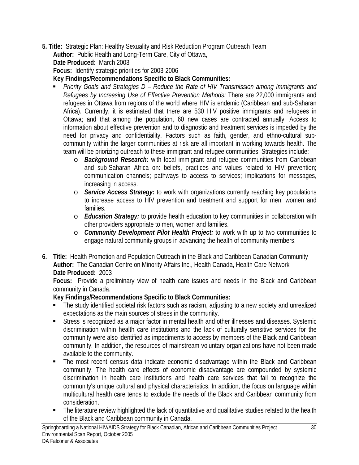- **5. Title:** Strategic Plan: Healthy Sexuality and Risk Reduction Program Outreach Team **Author:** Public Health and Long-Term Care, City of Ottawa,
	- **Date Produced:** March 2003

**Focus:** Identify strategic priorities for 2003-2006

**Key Findings/Recommendations Specific to Black Communities:** 

- *Priority Goals and Strategies D Reduce the Rate of HIV Transmission among Immigrants and Refugees by Increasing Use of Effective Prevention Methods:* There are 22,000 immigrants and refugees in Ottawa from regions of the world where HIV is endemic (Caribbean and sub-Saharan Africa). Currently, it is estimated that there are 530 HIV positive immigrants and refugees in Ottawa; and that among the population, 60 new cases are contracted annually. Access to information about effective prevention and to diagnostic and treatment services is impeded by the need for privacy and confidentiality. Factors such as faith, gender, and ethno-cultural subcommunity within the larger communities at risk are all important in working towards health. The team will be priorizing outreach to these immigrant and refugee communities. Strategies include:
	- o *Background Research:* with local immigrant and refugee communities from Caribbean and sub-Saharan Africa on: beliefs, practices and values related to HIV prevention; communication channels; pathways to access to services; implications for messages, increasing in access.
	- o *Service Access Strategy:* to work with organizations currently reaching key populations to increase access to HIV prevention and treatment and support for men, women and families.
	- o *Education Strategy:* to provide health education to key communities in collaboration with other providers appropriate to men, women and families.
	- o *Community Development Pilot Health Project:* to work with up to two communities to engage natural community groups in advancing the health of community members.
- **6. Title:** Health Promotion and Population Outreach in the Black and Caribbean Canadian Community **Author:** The Canadian Centre on Minority Affairs Inc., Health Canada, Health Care Network **Date Produced:** 2003

**Focus:** Provide a preliminary view of health care issues and needs in the Black and Caribbean community in Canada.

- The study identified societal risk factors such as racism, adjusting to a new society and unrealized expectations as the main sources of stress in the community.
- Stress is recognized as a major factor in mental health and other illnesses and diseases. Systemic discrimination within health care institutions and the lack of culturally sensitive services for the community were also identified as impediments to access by members of the Black and Caribbean community. In addition, the resources of mainstream voluntary organizations have not been made available to the community.
- The most recent census data indicate economic disadvantage within the Black and Caribbean community. The health care effects of economic disadvantage are compounded by systemic discrimination in health care institutions and health care services that fail to recognize the community's unique cultural and physical characteristics. In addition, the focus on language within multicultural health care tends to exclude the needs of the Black and Caribbean community from consideration.
- The literature review highlighted the lack of quantitative and qualitative studies related to the health of the Black and Caribbean community in Canada.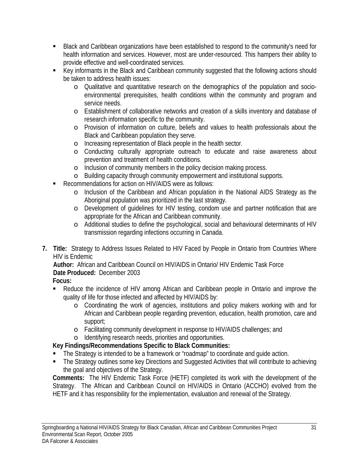- Black and Caribbean organizations have been established to respond to the community's need for health information and services. However, most are under-resourced. This hampers their ability to provide effective and well-coordinated services.
- Key informants in the Black and Caribbean community suggested that the following actions should be taken to address health issues:
	- o Qualitative and quantitative research on the demographics of the population and socioenvironmental prerequisites, health conditions within the community and program and service needs.
	- o Establishment of collaborative networks and creation of a skills inventory and database of research information specific to the community.
	- o Provision of information on culture, beliefs and values to health professionals about the Black and Caribbean population they serve.
	- o Increasing representation of Black people in the health sector.
	- o Conducting culturally appropriate outreach to educate and raise awareness about prevention and treatment of health conditions.
	- o Inclusion of community members in the policy decision making process.
	- o Building capacity through community empowerment and institutional supports.
- Recommendations for action on HIV/AIDS were as follows:
	- o Inclusion of the Caribbean and African population in the National AIDS Strategy as the Aboriginal population was prioritized in the last strategy.
	- o Development of guidelines for HIV testing, condom use and partner notification that are appropriate for the African and Caribbean community.
	- o Additional studies to define the psychological, social and behavioural determinants of HIV transmission regarding infections occurring in Canada.
- **7. Title:** Strategy to Address Issues Related to HIV Faced by People in Ontario from Countries Where HIV is Endemic

**Author:** African and Caribbean Council on HIV/AIDS in Ontario/ HIV Endemic Task Force **Date Produced:** December 2003

- **Focus:**
- Reduce the incidence of HIV among African and Caribbean people in Ontario and improve the quality of life for those infected and affected by HIV/AIDS by:
	- o Coordinating the work of agencies, institutions and policy makers working with and for African and Caribbean people regarding prevention, education, health promotion, care and support;
	- o Facilitating community development in response to HIV/AIDS challenges; and

o Identifying research needs, priorities and opportunities.

**Key Findings/Recommendations Specific to Black Communities:** 

- The Strategy is intended to be a framework or "roadmap" to coordinate and guide action.
- The Strategy outlines some key Directions and Suggested Activities that will contribute to achieving the goal and objectives of the Strategy.

**Comments:** The HIV Endemic Task Force (HETF) completed its work with the development of the Strategy. The African and Caribbean Council on HIV/AIDS in Ontario (ACCHO) evolved from the HETF and it has responsibility for the implementation, evaluation and renewal of the Strategy.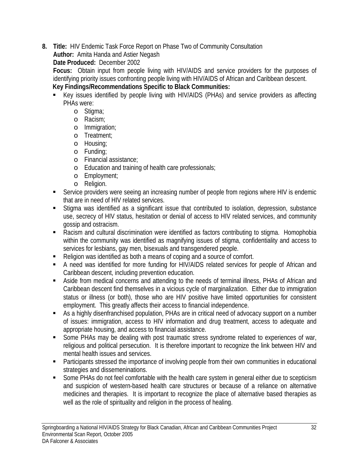**8. Title:** HIV Endemic Task Force Report on Phase Two of Community Consultation

**Author:** Amita Handa and Astier Negash

**Date Produced:** December 2002

**Focus:** Obtain input from people living with HIV/AIDS and service providers for the purposes of identifying priority issues confronting people living with HIV/AIDS of African and Caribbean descent. **Key Findings/Recommendations Specific to Black Communities:** 

- Key issues identified by people living with HIV/AIDS (PHAs) and service providers as affecting PHAs were:
	- o Stigma;
	- o Racism;
	- o Immigration;
	- o Treatment;
	- o Housing;
	- o Funding;
	- o Financial assistance;
	- o Education and training of health care professionals;
	- o Employment;
	- o Religion.
- **Service providers were seeing an increasing number of people from regions where HIV is endemic** that are in need of HIV related services.
- Stigma was identified as a significant issue that contributed to isolation, depression, substance use, secrecy of HIV status, hesitation or denial of access to HIV related services, and community gossip and ostracism.
- Racism and cultural discrimination were identified as factors contributing to stigma. Homophobia within the community was identified as magnifying issues of stigma, confidentiality and access to services for lesbians, gay men, bisexuals and transgendered people.
- Religion was identified as both a means of coping and a source of comfort.
- A need was identified for more funding for HIV/AIDS related services for people of African and Caribbean descent, including prevention education.
- Aside from medical concerns and attending to the needs of terminal illness, PHAs of African and Caribbean descent find themselves in a vicious cycle of marginalization. Either due to immigration status or illness (or both), those who are HIV positive have limited opportunities for consistent employment. This greatly affects their access to financial independence.
- As a highly disenfranchised population, PHAs are in critical need of advocacy support on a number of issues: immigration, access to HIV information and drug treatment, access to adequate and appropriate housing, and access to financial assistance.
- Some PHAs may be dealing with post traumatic stress syndrome related to experiences of war, religious and political persecution. It is therefore important to recognize the link between HIV and mental health issues and services.
- **•** Participants stressed the importance of involving people from their own communities in educational strategies and dissemeninations.
- Some PHAs do not feel comfortable with the health care system in general either due to scepticism and suspicion of western-based health care structures or because of a reliance on alternative medicines and therapies. It is important to recognize the place of alternative based therapies as well as the role of spirituality and religion in the process of healing.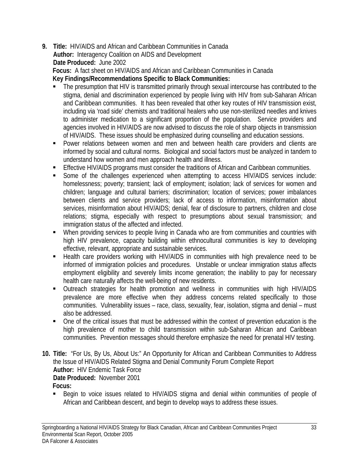**9. Title:** HIV/AIDS and African and Caribbean Communities in Canada **Author:** Interagency Coalition on AIDS and Development **Date Produced:** June 2002

**Focus:** A fact sheet on HIV/AIDS and African and Caribbean Communities in Canada **Key Findings/Recommendations Specific to Black Communities:** 

- The presumption that HIV is transmitted primarily through sexual intercourse has contributed to the stigma, denial and discrimination experienced by people living with HIV from sub-Saharan African and Caribbean communities. It has been revealed that other key routes of HIV transmission exist, including via 'road side' chemists and traditional healers who use non-sterilized needles and knives to administer medication to a significant proportion of the population. Service providers and agencies involved in HIV/AIDS are now advised to discuss the role of sharp objects in transmission of HIV/AIDS. These issues should be emphasized during counselling and education sessions.
- Power relations between women and men and between health care providers and clients are informed by social and cultural norms. Biological and social factors must be analyzed in tandem to understand how women and men approach health and illness.
- **Effective HIV/AIDS programs must consider the traditions of African and Caribbean communities.**
- Some of the challenges experienced when attempting to access HIV/AIDS services include: homelessness; poverty; transient; lack of employment; isolation; lack of services for women and children; language and cultural barriers; discrimination; location of services; power imbalances between clients and service providers; lack of access to information, misinformation about services, misinformation about HIV/AIDS; denial, fear of disclosure to partners, children and close relations; stigma, especially with respect to presumptions about sexual transmission; and immigration status of the affected and infected.
- When providing services to people living in Canada who are from communities and countries with high HIV prevalence, capacity building within ethnocultural communities is key to developing effective, relevant, appropriate and sustainable services.
- Health care providers working with HIV/AIDS in communities with high prevalence need to be informed of immigration policies and procedures. Unstable or unclear immigration status affects employment eligibility and severely limits income generation; the inability to pay for necessary health care naturally affects the well-being of new residents.
- Outreach strategies for health promotion and wellness in communities with high HIV/AIDS prevalence are more effective when they address concerns related specifically to those communities. Vulnerability issues – race, class, sexuality, fear, isolation, stigma and denial – must also be addressed.
- One of the critical issues that must be addressed within the context of prevention education is the high prevalence of mother to child transmission within sub-Saharan African and Caribbean communities. Prevention messages should therefore emphasize the need for prenatal HIV testing.
- **10. Title:** "For Us, By Us, About Us:" An Opportunity for African and Caribbean Communities to Address the Issue of HIV/AIDS Related Stigma and Denial Community Forum Complete Report **Author:** HIV Endemic Task Force **Date Produced:** November 2001 **Focus:**
	- Begin to voice issues related to HIV/AIDS stigma and denial within communities of people of African and Caribbean descent, and begin to develop ways to address these issues.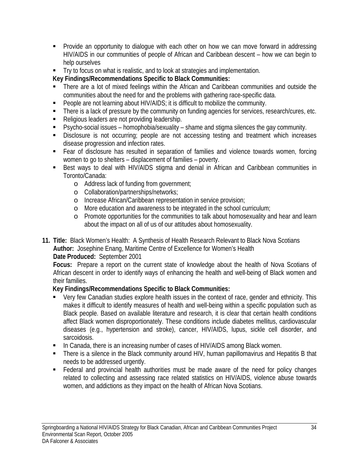- Provide an opportunity to dialogue with each other on how we can move forward in addressing HIV/AIDS in our communities of people of African and Caribbean descent – how we can begin to help ourselves
- Try to focus on what is realistic, and to look at strategies and implementation.

**Key Findings/Recommendations Specific to Black Communities:** 

- There are a lot of mixed feelings within the African and Caribbean communities and outside the communities about the need for and the problems with gathering race-specific data.
- **People are not learning about HIV/AIDS; it is difficult to mobilize the community.**
- There is a lack of pressure by the community on funding agencies for services, research/cures, etc.
- Religious leaders are not providing leadership.
- Psycho-social issues homophobia/sexuality shame and stigma silences the gay community.
- Disclosure is not occurring; people are not accessing testing and treatment which increases disease progression and infection rates.
- Fear of disclosure has resulted in separation of families and violence towards women, forcing women to go to shelters – displacement of families – poverty.
- Best ways to deal with HIV/AIDS stigma and denial in African and Caribbean communities in Toronto/Canada:
	- o Address lack of funding from government;
	- o Collaboration/partnerships/networks;
	- o Increase African/Caribbean representation in service provision;
	- o More education and awareness to be integrated in the school curriculum;
	- o Promote opportunities for the communities to talk about homosexuality and hear and learn about the impact on all of us of our attitudes about homosexuality.

**11. Title:** Black Women's Health: A Synthesis of Health Research Relevant to Black Nova Scotians **Author:** Josephine Enang, Maritime Centre of Excellence for Women's Health

**Date Produced:** September 2001

**Focus:** Prepare a report on the current state of knowledge about the health of Nova Scotians of African descent in order to identify ways of enhancing the health and well-being of Black women and their families.

- Very few Canadian studies explore health issues in the context of race, gender and ethnicity. This makes it difficult to identify measures of health and well-being within a specific population such as Black people. Based on available literature and research, it is clear that certain health conditions affect Black women disproportionately. These conditions include diabetes mellitus, cardiovascular diseases (e.g., hypertension and stroke), cancer, HIV/AIDS, lupus, sickle cell disorder, and sarcoidosis.
- In Canada, there is an increasing number of cases of HIV/AIDS among Black women.
- There is a silence in the Black community around HIV, human papillomavirus and Hepatitis B that needs to be addressed urgently.
- Federal and provincial health authorities must be made aware of the need for policy changes related to collecting and assessing race related statistics on HIV/AIDS, violence abuse towards women, and addictions as they impact on the health of African Nova Scotians.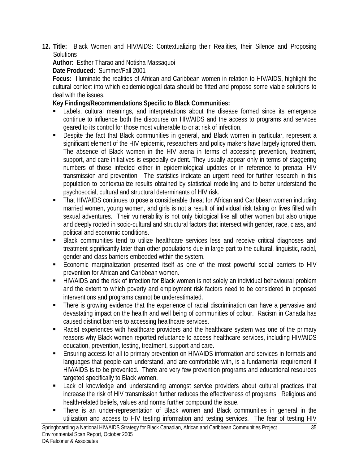**12. Title:** Black Women and HIV/AIDS: Contextualizing their Realities, their Silence and Proposing **Solutions** 

# **Author:** Esther Tharao and Notisha Massaquoi

## **Date Produced:** Summer/Fall 2001

**Focus:** Illuminate the realities of African and Caribbean women in relation to HIV/AIDS, highlight the cultural context into which epidemiological data should be fitted and propose some viable solutions to deal with the issues.

- Labels, cultural meanings, and interpretations about the disease formed since its emergence continue to influence both the discourse on HIV/AIDS and the access to programs and services geared to its control for those most vulnerable to or at risk of infection.
- **Despite the fact that Black communities in general, and Black women in particular, represent a** significant element of the HIV epidemic, researchers and policy makers have largely ignored them. The absence of Black women in the HIV arena in terms of accessing prevention, treatment, support, and care initiatives is especially evident. They usually appear only in terms of staggering numbers of those infected either in epidemiological updates or in reference to prenatal HIV transmission and prevention. The statistics indicate an urgent need for further research in this population to contextualize results obtained by statistical modelling and to better understand the psychosocial, cultural and structural determinants of HIV risk.
- That HIV/AIDS continues to pose a considerable threat for African and Caribbean women including married women, young women, and girls is not a result of individual risk taking or lives filled with sexual adventures. Their vulnerability is not only biological like all other women but also unique and deeply rooted in socio-cultural and structural factors that intersect with gender, race, class, and political and economic conditions.
- Black communities tend to utilize healthcare services less and receive critical diagnoses and treatment significantly later than other populations due in large part to the cultural, linguistic, racial, gender and class barriers embedded within the system.
- Economic marginalization presented itself as one of the most powerful social barriers to HIV prevention for African and Caribbean women.
- HIV/AIDS and the risk of infection for Black women is not solely an individual behavioural problem and the extent to which poverty and employment risk factors need to be considered in proposed interventions and programs cannot be underestimated.
- **There is growing evidence that the experience of racial discrimination can have a pervasive and** devastating impact on the health and well being of communities of colour. Racism in Canada has caused distinct barriers to accessing healthcare services.
- Racist experiences with healthcare providers and the healthcare system was one of the primary reasons why Black women reported reluctance to access healthcare services, including HIV/AIDS education, prevention, testing, treatment, support and care.
- **Ensuring access for all to primary prevention on HIV/AIDS information and services in formats and** languages that people can understand, and are comfortable with, is a fundamental requirement if HIV/AIDS is to be prevented. There are very few prevention programs and educational resources targeted specifically to Black women.
- Lack of knowledge and understanding amongst service providers about cultural practices that increase the risk of HIV transmission further reduces the effectiveness of programs. Religious and health-related beliefs, values and norms further compound the issue.
- There is an under-representation of Black women and Black communities in general in the utilization and access to HIV testing information and testing services. The fear of testing HIV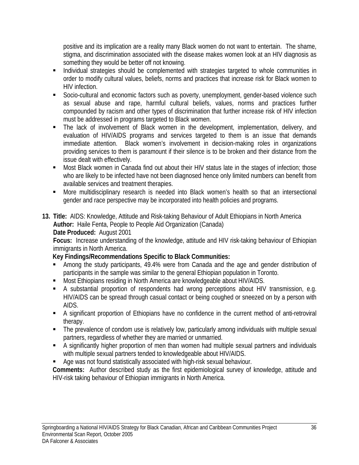positive and its implication are a reality many Black women do not want to entertain. The shame, stigma, and discrimination associated with the disease makes women look at an HIV diagnosis as something they would be better off not knowing.

- **Individual strategies should be complemented with strategies targeted to whole communities in** order to modify cultural values, beliefs, norms and practices that increase risk for Black women to HIV infection.
- Socio-cultural and economic factors such as poverty, unemployment, gender-based violence such as sexual abuse and rape, harmful cultural beliefs, values, norms and practices further compounded by racism and other types of discrimination that further increase risk of HIV infection must be addressed in programs targeted to Black women.
- The lack of involvement of Black women in the development, implementation, delivery, and evaluation of HIV/AIDS programs and services targeted to them is an issue that demands immediate attention. Black women's involvement in decision-making roles in organizations providing services to them is paramount if their silence is to be broken and their distance from the issue dealt with effectively.
- **Most Black women in Canada find out about their HIV status late in the stages of infection; those** who are likely to be infected have not been diagnosed hence only limited numbers can benefit from available services and treatment therapies.
- **More multidisciplinary research is needed into Black women's health so that an intersectional** gender and race perspective may be incorporated into health policies and programs.
- **13. Title:** AIDS: Knowledge, Attitude and Risk-taking Behaviour of Adult Ethiopians in North America **Author:** Haile Fenta, People to People Aid Organization (Canada) **Date Produced:** August 2001

**Focus:** Increase understanding of the knowledge, attitude and HIV risk-taking behaviour of Ethiopian immigrants in North America.

## **Key Findings/Recommendations Specific to Black Communities:**

- Among the study participants, 49.4% were from Canada and the age and gender distribution of participants in the sample was similar to the general Ethiopian population in Toronto.
- Most Ethiopians residing in North America are knowledgeable about HIV/AIDS.
- A substantial proportion of respondents had wrong perceptions about HIV transmission, e.g. HIV/AIDS can be spread through casual contact or being coughed or sneezed on by a person with AIDS.
- A significant proportion of Ethiopians have no confidence in the current method of anti-retroviral therapy.
- The prevalence of condom use is relatively low, particularly among individuals with multiple sexual partners, regardless of whether they are married or unmarried.
- A significantly higher proportion of men than women had multiple sexual partners and individuals with multiple sexual partners tended to knowledgeable about HIV/AIDS.
- Age was not found statistically associated with high-risk sexual behaviour.

**Comments:** Author described study as the first epidemiological survey of knowledge, attitude and HIV-risk taking behaviour of Ethiopian immigrants in North America.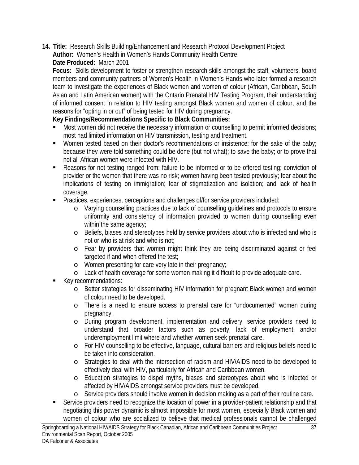**14. Title:** Research Skills Building/Enhancement and Research Protocol Development Project **Author:** Women's Health in Women's Hands Community Health Centre **Date Produced:** March 2001

**Focus:** Skills development to foster or strengthen research skills amongst the staff, volunteers, board members and community partners of Women's Health in Women's Hands who later formed a research team to investigate the experiences of Black women and women of colour (African, Caribbean, South Asian and Latin American women) with the Ontario Prenatal HIV Testing Program, their understanding of informed consent in relation to HIV testing amongst Black women and women of colour, and the reasons for "opting in or out" of being tested for HIV during pregnancy.

- Most women did not receive the necessary information or counselling to permit informed decisions; most had limited information on HIV transmission, testing and treatment.
- **Women tested based on their doctor's recommendations or insistence; for the sake of the baby;** because they were told something could be done (but not what); to save the baby; or to prove that not all African women were infected with HIV.
- Reasons for not testing ranged from: failure to be informed or to be offered testing; conviction of provider or the women that there was no risk; women having been tested previously; fear about the implications of testing on immigration; fear of stigmatization and isolation; and lack of health coverage.
- **Practices, experiences, perceptions and challenges of/for service providers included:** 
	- o Varying counselling practices due to lack of counselling guidelines and protocols to ensure uniformity and consistency of information provided to women during counselling even within the same agency;
	- o Beliefs, biases and stereotypes held by service providers about who is infected and who is not or who is at risk and who is not;
	- o Fear by providers that women might think they are being discriminated against or feel targeted if and when offered the test;
	- o Women presenting for care very late in their pregnancy;
	- o Lack of health coverage for some women making it difficult to provide adequate care.
- Key recommendations:
	- o Better strategies for disseminating HIV information for pregnant Black women and women of colour need to be developed.
	- o There is a need to ensure access to prenatal care for "undocumented" women during pregnancy.
	- o During program development, implementation and delivery, service providers need to understand that broader factors such as poverty, lack of employment, and/or underemployment limit where and whether women seek prenatal care.
	- o For HIV counselling to be effective, language, cultural barriers and religious beliefs need to be taken into consideration.
	- o Strategies to deal with the intersection of racism and HIV/AIDS need to be developed to effectively deal with HIV, particularly for African and Caribbean women.
	- o Education strategies to dispel myths, biases and stereotypes about who is infected or affected by HIV/AIDS amongst service providers must be developed.
	- o Service providers should involve women in decision making as a part of their routine care.
- Service providers need to recognize the location of power in a provider-patient relationship and that negotiating this power dynamic is almost impossible for most women, especially Black women and women of colour who are socialized to believe that medical professionals cannot be challenged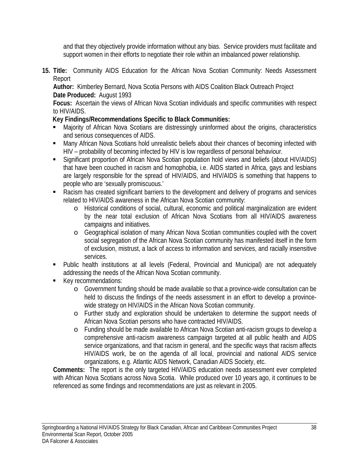and that they objectively provide information without any bias. Service providers must facilitate and support women in their efforts to negotiate their role within an imbalanced power relationship.

**15. Title:** Community AIDS Education for the African Nova Scotian Community: Needs Assessment Report

**Author:** Kimberley Bernard, Nova Scotia Persons with AIDS Coalition Black Outreach Project **Date Produced:** August 1993

**Focus:** Ascertain the views of African Nova Scotian individuals and specific communities with respect to HIV/AIDS.

## **Key Findings/Recommendations Specific to Black Communities:**

- Majority of African Nova Scotians are distressingly uninformed about the origins, characteristics and serious consequences of AIDS.
- Many African Nova Scotians hold unrealistic beliefs about their chances of becoming infected with HIV – probability of becoming infected by HIV is low regardless of personal behaviour.
- Significant proportion of African Nova Scotian population hold views and beliefs (about HIV/AIDS) that have been couched in racism and homophobia, i.e. AIDS started in Africa, gays and lesbians are largely responsible for the spread of HIV/AIDS, and HIV/AIDS is something that happens to people who are 'sexually promiscuous.'
- Racism has created significant barriers to the development and delivery of programs and services related to HIV/AIDS awareness in the African Nova Scotian community:
	- o Historical conditions of social, cultural, economic and political marginalization are evident by the near total exclusion of African Nova Scotians from all HIV/AIDS awareness campaigns and initiatives.
	- o Geographical isolation of many African Nova Scotian communities coupled with the covert social segregation of the African Nova Scotian community has manifested itself in the form of exclusion, mistrust, a lack of access to information and services, and racially insensitive services.
- Public health institutions at all levels (Federal, Provincial and Municipal) are not adequately addressing the needs of the African Nova Scotian community.
- Key recommendations:
	- o Government funding should be made available so that a province-wide consultation can be held to discuss the findings of the needs assessment in an effort to develop a provincewide strategy on HIV/AIDS in the African Nova Scotian community.
	- o Further study and exploration should be undertaken to determine the support needs of African Nova Scotian persons who have contracted HIV/AIDS.
	- o Funding should be made available to African Nova Scotian anti-racism groups to develop a comprehensive anti-racism awareness campaign targeted at all public health and AIDS service organizations, and that racism in general, and the specific ways that racism affects HIV/AIDS work, be on the agenda of all local, provincial and national AIDS service organizations, e.g. Atlantic AIDS Network, Canadian AIDS Society, etc.

**Comments:** The report is the only targeted HIV/AIDS education needs assessment ever completed with African Nova Scotians across Nova Scotia. While produced over 10 years ago, it continues to be referenced as some findings and recommendations are just as relevant in 2005.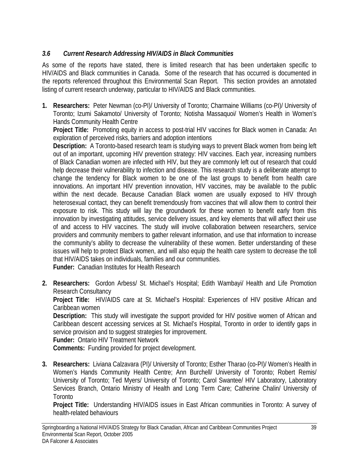## *3.6 Current Research Addressing HIV/AIDS in Black Communities*

As some of the reports have stated, there is limited research that has been undertaken specific to HIV/AIDS and Black communities in Canada. Some of the research that has occurred is documented in the reports referenced throughout this Environmental Scan Report. This section provides an annotated listing of current research underway, particular to HIV/AIDS and Black communities.

**1. Researchers:** Peter Newman (co-PI)/ University of Toronto; Charmaine Williams (co-PI)/ University of Toronto; Izumi Sakamoto/ University of Toronto; Notisha Massaquoi/ Women's Health in Women's Hands Community Health Centre

**Project Title:** Promoting equity in access to post-trial HIV vaccines for Black women in Canada: An exploration of perceived risks, barriers and adoption intentions

**Description:** A Toronto-based research team is studying ways to prevent Black women from being left out of an important, upcoming HIV prevention strategy: HIV vaccines. Each year, increasing numbers of Black Canadian women are infected with HIV, but they are commonly left out of research that could help decrease their vulnerability to infection and disease. This research study is a deliberate attempt to change the tendency for Black women to be one of the last groups to benefit from health care innovations. An important HIV prevention innovation, HIV vaccines, may be available to the public within the next decade. Because Canadian Black women are usually exposed to HIV through heterosexual contact, they can benefit tremendously from vaccines that will allow them to control their exposure to risk. This study will lay the groundwork for these women to benefit early from this innovation by investigating attitudes, service delivery issues, and key elements that will affect their use of and access to HIV vaccines. The study will involve collaboration between researchers, service providers and community members to gather relevant information, and use that information to increase the community's ability to decrease the vulnerability of these women. Better understanding of these issues will help to protect Black women, and will also equip the health care system to decrease the toll that HIV/AIDS takes on individuals, families and our communities.

**Funder:** Canadian Institutes for Health Research

**2. Researchers:** Gordon Arbess/ St. Michael's Hospital; Edith Wambayi/ Health and Life Promotion Research Consultancy

**Project Title:** HIV/AIDS care at St. Michael's Hospital: Experiences of HIV positive African and Caribbean women

**Description:** This study will investigate the support provided for HIV positive women of African and Caribbean descent accessing services at St. Michael's Hospital, Toronto in order to identify gaps in service provision and to suggest strategies for improvement.

**Funder:** Ontario HIV Treatment Network

**Comments:** Funding provided for project development.

**3. Researchers:** Liviana Calzavara (PI)/ University of Toronto; Esther Tharao (co-PI)/ Women's Health in Women's Hands Community Health Centre; Ann Burchell/ University of Toronto; Robert Remis/ University of Toronto; Ted Myers/ University of Toronto; Carol Swantee/ HIV Laboratory, Laboratory Services Branch, Ontario Ministry of Health and Long Term Care; Catherine Chalin/ University of Toronto

**Project Title:** Understanding HIV/AIDS issues in East African communities in Toronto: A survey of health-related behaviours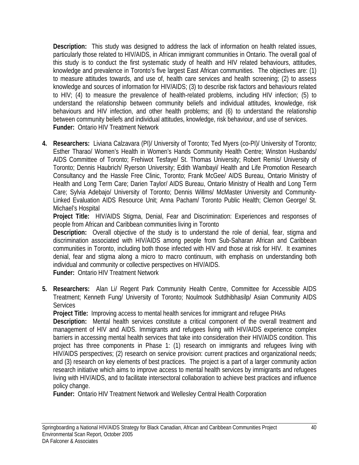**Description:** This study was designed to address the lack of information on health related issues, particularly those related to HIV/AIDS, in African immigrant communities in Ontario. The overall goal of this study is to conduct the first systematic study of health and HIV related behaviours, attitudes, knowledge and prevalence in Toronto's five largest East African communities. The objectives are: (1) to measure attitudes towards, and use of, health care services and health screening; (2) to assess knowledge and sources of information for HIV/AIDS; (3) to describe risk factors and behaviours related to HIV; (4) to measure the prevalence of health-related problems, including HIV infection; (5) to understand the relationship between community beliefs and individual attitudes, knowledge, risk behaviours and HIV infection, and other health problems; and (6) to understand the relationship between community beliefs and individual attitudes, knowledge, risk behaviour, and use of services. **Funder:** Ontario HIV Treatment Network

**4. Researchers:** Liviana Calzavara (PI)/ University of Toronto; Ted Myers (co-PI)/ University of Toronto; Esther Tharao/ Women's Health in Women's Hands Community Health Centre; Winston Husbands/ AIDS Committee of Toronto; Frehiwot Tesfaye/ St. Thomas University; Robert Remis/ University of Toronto; Dennis Haubrich/ Ryerson University; Edith Wambayi/ Health and Life Promotion Research Consultancy and the Hassle Free Clinic, Toronto; Frank McGee/ AIDS Bureau, Ontario Ministry of Health and Long Term Care; Darien Taylor/ AIDS Bureau, Ontario Ministry of Health and Long Term Care; Sylvia Adebajo/ University of Toronto; Dennis Willms/ McMaster University and Community-Linked Evaluation AIDS Resource Unit; Anna Pacham/ Toronto Public Health; Clemon George/ St. Michael's Hospital

**Project Title:** HIV/AIDS Stigma, Denial, Fear and Discrimination: Experiences and responses of people from African and Caribbean communities living in Toronto

**Description:** Overall objective of the study is to understand the role of denial, fear, stigma and discrimination associated with HIV/AIDS among people from Sub-Saharan African and Caribbean communities in Toronto, including both those infected with HIV and those at risk for HIV. It examines denial, fear and stigma along a micro to macro continuum, with emphasis on understanding both individual and community or collective perspectives on HIV/AIDS.

**Funder:** Ontario HIV Treatment Network

**5. Researchers:** Alan Li/ Regent Park Community Health Centre, Committee for Accessible AIDS Treatment; Kenneth Fung/ University of Toronto; Noulmook Sutdhibhasilp/ Asian Community AIDS **Services** 

**Project Title:** Improving access to mental health services for immigrant and refugee PHAs

**Description:** Mental health services constitute a critical component of the overall treatment and management of HIV and AIDS. Immigrants and refugees living with HIV/AIDS experience complex barriers in accessing mental health services that take into consideration their HIV/AIDS condition. This project has three components in Phase 1: (1) research on immigrants and refugees living with HIV/AIDS perspectives; (2) research on service provision: current practices and organizational needs; and (3) research on key elements of best practices. The project is a part of a larger community action research initiative which aims to improve access to mental health services by immigrants and refugees living with HIV/AIDS, and to facilitate intersectoral collaboration to achieve best practices and influence policy change.

**Funder:** Ontario HIV Treatment Network and Wellesley Central Health Corporation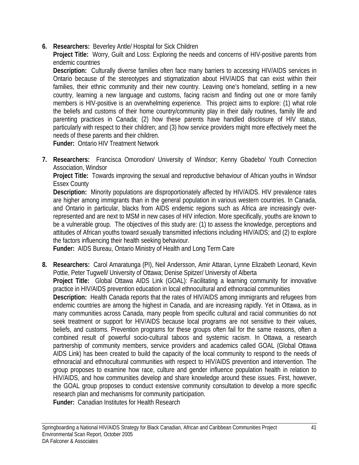**6. Researchers:** Beverley Antle/ Hospital for Sick Children

**Project Title:** Worry, Guilt and Loss: Exploring the needs and concerns of HIV-positive parents from endemic countries

**Description:** Culturally diverse families often face many barriers to accessing HIV/AIDS services in Ontario because of the stereotypes and stigmatization about HIV/AIDS that can exist within their families, their ethnic community and their new country. Leaving one's homeland, settling in a new country, learning a new language and customs, facing racism and finding out one or more family members is HIV-positive is an overwhelming experience. This project aims to explore: (1) what role the beliefs and customs of their home country/community play in their daily routines, family life and parenting practices in Canada; (2) how these parents have handled disclosure of HIV status, particularly with respect to their children; and (3) how service providers might more effectively meet the needs of these parents and their children.

**Funder:** Ontario HIV Treatment Network

**7. Researchers:** Francisca Omorodion/ University of Windsor; Kenny Gbadebo/ Youth Connection Association, Windsor

**Project Title:** Towards improving the sexual and reproductive behaviour of African youths in Windsor Essex County

**Description:** Minority populations are disproportionately affected by HIV/AIDS. HIV prevalence rates are higher among immigrants than in the general population in various western countries. In Canada, and Ontario in particular, blacks from AIDS endemic regions such as Africa are increasingly overrepresented and are next to MSM in new cases of HIV infection. More specifically, youths are known to be a vulnerable group. The objectives of this study are: (1) to assess the knowledge, perceptions and attitudes of African youths toward sexually transmitted infections including HIV/AIDS; and (2) to explore the factors influencing their health seeking behaviour.

**Funder:** AIDS Bureau, Ontario Ministry of Health and Long Term Care

**8. Researchers:** Carol Amaratunga (PI), Neil Andersson, Amir Attaran, Lynne Elizabeth Leonard, Kevin Pottie, Peter Tugwell/ University of Ottawa; Denise Spitzer/ University of Alberta **Project Title:** Global Ottawa AIDS Link (GOAL): Facilitating a learning community for innovative practice in HIV/AIDS prevention education in local ethnocultural and ethnoracial communities **Description:** Health Canada reports that the rates of HIV/AIDS among immigrants and refugees from endemic countries are among the highest in Canada, and are increasing rapidly. Yet in Ottawa, as in many communities across Canada, many people from specific cultural and racial communities do not seek treatment or support for HIV/AIDS because local programs are not sensitive to their values, beliefs, and customs. Prevention programs for these groups often fail for the same reasons, often a combined result of powerful socio-cultural taboos and systemic racism. In Ottawa, a research partnership of community members, service providers and academics called GOAL (Global Ottawa AIDS Link) has been created to build the capacity of the local community to respond to the needs of ethnoracial and ethnocultural communities with respect to HIV/AIDS prevention and intervention. The group proposes to examine how race, culture and gender influence population health in relation to HIV/AIDS, and how communities develop and share knowledge around these issues. First, however, the GOAL group proposes to conduct extensive community consultation to develop a more specific research plan and mechanisms for community participation. **Funder:** Canadian Institutes for Health Research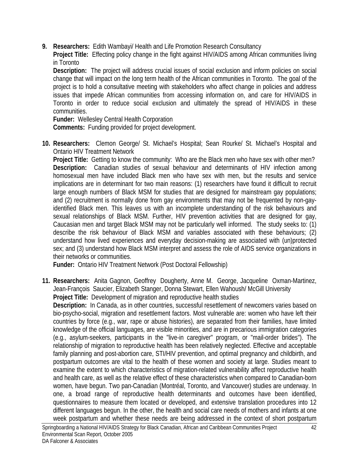**9. Researchers:** Edith Wambayi/ Health and Life Promotion Research Consultancy

**Project Title:** Effecting policy change in the fight against HIV/AIDS among African communities living in Toronto

**Description:** The project will address crucial issues of social exclusion and inform policies on social change that will impact on the long term health of the African communities in Toronto. The goal of the project is to hold a consultative meeting with stakeholders who affect change in policies and address issues that impede African communities from accessing information on, and care for HIV/AIDS in Toronto in order to reduce social exclusion and ultimately the spread of HIV/AIDS in these communities.

**Funder:** Wellesley Central Health Corporation

**Comments:** Funding provided for project development.

**10. Researchers:** Clemon George/ St. Michael's Hospital; Sean Rourke/ St. Michael's Hospital and Ontario HIV Treatment Network

**Project Title:** Getting to know the community: Who are the Black men who have sex with other men? **Description:** Canadian studies of sexual behaviour and determinants of HIV infection among homosexual men have included Black men who have sex with men, but the results and service implications are in determinant for two main reasons: (1) researchers have found it difficult to recruit large enough numbers of Black MSM for studies that are designed for mainstream gay populations; and (2) recruitment is normally done from gay environments that may not be frequented by non-gayidentified Black men. This leaves us with an incomplete understanding of the risk behaviours and sexual relationships of Black MSM. Further, HIV prevention activities that are designed for gay, Caucasian men and target Black MSM may not be particularly well informed. The study seeks to: (1) describe the risk behaviour of Black MSM and variables associated with these behaviours; (2) understand how lived experiences and everyday decision-making are associated with (un)protected sex; and (3) understand how Black MSM interpret and assess the role of AIDS service organizations in their networks or communities.

**Funder:** Ontario HIV Treatment Network (Post Doctoral Fellowship)

**11. Researchers:** Anita Gagnon, Geoffrey Dougherty, Anne M. George, Jacqueline Oxman-Martinez, Jean-François Saucier, Elizabeth Stanger, Donna Stewart, Ellen Wahoush/ McGill University **Project Title:** Development of migration and reproductive health studies

**Description:** In Canada, as in other countries, successful resettlement of newcomers varies based on bio-psycho-social, migration and resettlement factors. Most vulnerable are: women who have left their countries by force (e.g., war, rape or abuse histories), are separated from their families, have limited knowledge of the official languages, are visible minorities, and are in precarious immigration categories (e.g., asylum-seekers, participants in the "live-in caregiver" program, or "mail-order brides"). The relationship of migration to reproductive health has been relatively neglected. Effective and acceptable family planning and post-abortion care, STI/HIV prevention, and optimal pregnancy and childbirth, and postpartum outcomes are vital to the health of these women and society at large. Studies meant to examine the extent to which characteristics of migration-related vulnerability affect reproductive health and health care, as well as the relative effect of these characteristics when compared to Canadian-born women, have begun. Two pan-Canadian (Montréal, Toronto, and Vancouver) studies are underway. In one, a broad range of reproductive health determinants and outcomes have been identified, questionnaires to measure them located or developed, and extensive translation procedures into 12 different languages begun. In the other, the health and social care needs of mothers and infants at one week postpartum and whether these needs are being addressed in the context of short postpartum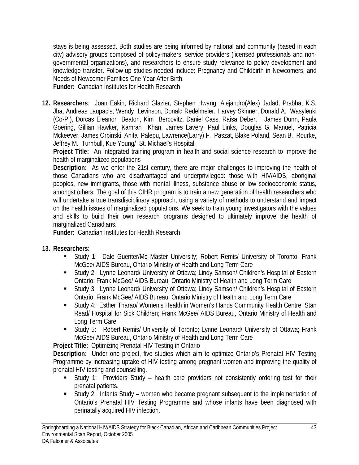stays is being assessed. Both studies are being informed by national and community (based in each city) advisory groups composed of policy-makers, service providers (licensed professionals and nongovernmental organizations), and researchers to ensure study relevance to policy development and knowledge transfer. Follow-up studies needed include: Pregnancy and Childbirth in Newcomers, and Needs of Newcomer Families One Year After Birth.

**Funder:** Canadian Institutes for Health Research

**12. Researchers**: Joan Eakin, Richard Glazier, Stephen Hwang, Alejandro(Alex) Jadad, Prabhat K.S. Jha, Andreas Laupacis, Wendy Levinson, Donald Redelmeier, Harvey Skinner, Donald A. Wasylenki (Co-PI), Dorcas Eleanor Beaton, Kim Bercovitz, Daniel Cass, Raisa Deber, James Dunn, Paula Goering, Gillian Hawker, Kamran Khan, James Lavery, Paul Links, Douglas G. Manuel, Patricia Mckeever, James Orbinski, Anita Palepu, Lawrence(Larry) F. Paszat, Blake Poland, Sean B. Rourke, Jeffrey M. Turnbull, Kue Young/ St. Michael's Hospital

**Project Title:** An integrated training program in health and social science research to improve the health of marginalized populations

**Description:** As we enter the 21st century, there are major challenges to improving the health of those Canadians who are disadvantaged and underprivileged: those with HIV/AIDS, aboriginal peoples, new immigrants, those with mental illness, substance abuse or low socioeconomic status, amongst others. The goal of this CIHR program is to train a new generation of health researchers who will undertake a true transdisciplinary approach, using a variety of methods to understand and impact on the health issues of marginalized populations. We seek to train young investigators with the values and skills to build their own research programs designed to ultimately improve the health of marginalized Canadians.

**Funder:** Canadian Institutes for Health Research

- **13. Researchers:** 
	- Study 1: Dale Guenter/Mc Master University; Robert Remis/ University of Toronto; Frank McGee/ AIDS Bureau, Ontario Ministry of Health and Long Term Care
	- Study 2: Lynne Leonard/ University of Ottawa; Lindy Samson/ Children's Hospital of Eastern Ontario; Frank McGee/ AIDS Bureau, Ontario Ministry of Health and Long Term Care
	- Study 3: Lynne Leonard/ University of Ottawa; Lindy Samson/ Children's Hospital of Eastern Ontario; Frank McGee/ AIDS Bureau, Ontario Ministry of Health and Long Term Care
	- Study 4: Esther Tharao/ Women's Health in Women's Hands Community Health Centre; Stan Read/ Hospital for Sick Children; Frank McGee/ AIDS Bureau, Ontario Ministry of Health and Long Term Care
	- Study 5: Robert Remis/ University of Toronto; Lynne Leonard/ University of Ottawa; Frank McGee/ AIDS Bureau, Ontario Ministry of Health and Long Term Care

**Project Title:** Optimizing Prenatal HIV Testing in Ontario

**Description:** Under one project, five studies which aim to optimize Ontario's Prenatal HIV Testing Programme by increasing uptake of HIV testing among pregnant women and improving the quality of prenatal HIV testing and counselling.

- Study 1: Providers Study health care providers not consistently ordering test for their prenatal patients.
- Study 2: Infants Study women who became pregnant subsequent to the implementation of Ontario's Prenatal HIV Testing Programme and whose infants have been diagnosed with perinatally acquired HIV infection.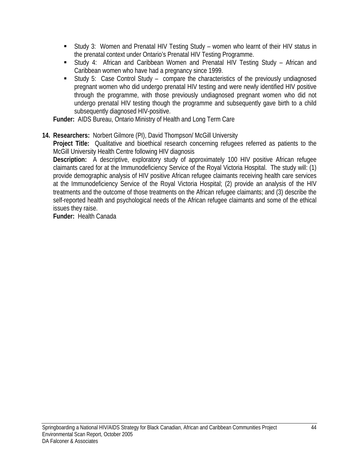- Study 3: Women and Prenatal HIV Testing Study women who learnt of their HIV status in the prenatal context under Ontario's Prenatal HIV Testing Programme.
- Study 4: African and Caribbean Women and Prenatal HIV Testing Study African and Caribbean women who have had a pregnancy since 1999.
- Study 5: Case Control Study compare the characteristics of the previously undiagnosed pregnant women who did undergo prenatal HIV testing and were newly identified HIV positive through the programme, with those previously undiagnosed pregnant women who did not undergo prenatal HIV testing though the programme and subsequently gave birth to a child subsequently diagnosed HIV-positive.

**Funder:** AIDS Bureau, Ontario Ministry of Health and Long Term Care

**14. Researchers:** Norbert Gilmore (PI), David Thompson/ McGill University

**Project Title:** Qualitative and bioethical research concerning refugees referred as patients to the McGill University Health Centre following HIV diagnosis

**Description:** A descriptive, exploratory study of approximately 100 HIV positive African refugee claimants cared for at the Immunodeficiency Service of the Royal Victoria Hospital. The study will: (1) provide demographic analysis of HIV positive African refugee claimants receiving health care services at the Immunodeficiency Service of the Royal Victoria Hospital; (2) provide an analysis of the HIV treatments and the outcome of those treatments on the African refugee claimants; and (3) describe the self-reported health and psychological needs of the African refugee claimants and some of the ethical issues they raise.

**Funder:** Health Canada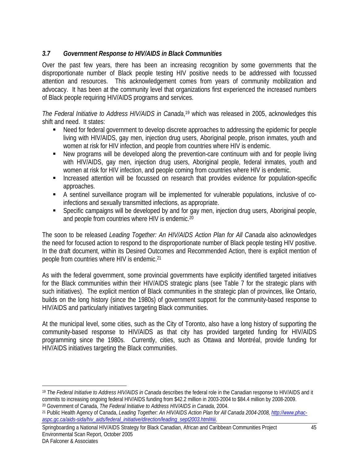## *3.7 Government Response to HIV/AIDS in Black Communities*

Over the past few years, there has been an increasing recognition by some governments that the disproportionate number of Black people testing HIV positive needs to be addressed with focussed attention and resources. This acknowledgement comes from years of community mobilization and advocacy. It has been at the community level that organizations first experienced the increased numbers of Black people requiring HIV/AIDS programs and services.

*The Federal Initiative to Address HIV/AIDS in Canada*, 19 which was released in 2005, acknowledges this shift and need. It states:

- Need for federal government to develop discrete approaches to addressing the epidemic for people living with HIV/AIDS, gay men, injection drug users, Aboriginal people, prison inmates, youth and women at risk for HIV infection, and people from countries where HIV is endemic.
- New programs will be developed along the prevention-care continuum with and for people living with HIV/AIDS, gay men, injection drug users, Aboriginal people, federal inmates, youth and women at risk for HIV infection, and people coming from countries where HIV is endemic.
- **Increased attention will be focussed on research that provides evidence for population-specific** approaches.
- A sentinel surveillance program will be implemented for vulnerable populations, inclusive of coinfections and sexually transmitted infections, as appropriate.
- Specific campaigns will be developed by and for gay men, injection drug users, Aboriginal people, and people from countries where HIV is endemic.20

The soon to be released *Leading Together: An HIV/AIDS Action Plan for All Canada* also acknowledges the need for focused action to respond to the disproportionate number of Black people testing HIV positive. In the draft document, within its Desired Outcomes and Recommended Action, there is explicit mention of people from countries where HIV is endemic.21

As with the federal government, some provincial governments have explicitly identified targeted initiatives for the Black communities within their HIV/AIDS strategic plans (see Table 7 for the strategic plans with such initiatives). The explicit mention of Black communities in the strategic plan of provinces, like Ontario, builds on the long history (since the 1980s) of government support for the community-based response to HIV/AIDS and particularly initiatives targeting Black communities.

At the municipal level, some cities, such as the City of Toronto, also have a long history of supporting the community-based response to HIV/AIDS as that city has provided targeted funding for HIV/AIDS programming since the 1980s. Currently, cities, such as Ottawa and Montréal, provide funding for HIV/AIDS initiatives targeting the Black communities.

 $\overline{a}$ <sup>19</sup> *The Federal Initiative to Address HIV/AIDS in Canada* describes the federal role in the Canadian response to HIV/AIDS and it commits to increasing ongoing federal HIV/AIDS funding from \$42.2 million in 2003-2004 to \$84.4 million by 2008-2009. 20 Government of Canada, *The Federal Initiative to Address HIV/AIDS in Canada,* 2004.

<sup>21</sup> Public Health Agency of Canada, *Leading Together: An HIV/AIDS Action Plan for All Canada 2004-2008, http://www.phacaspc.gc.ca/aids-sida/hiv\_aids/federal\_initiative/direction/leading\_sept2003.html#iii.* 

Springboarding a National HIV/AIDS Strategy for Black Canadian, African and Caribbean Communities Project 45 Environmental Scan Report, October 2005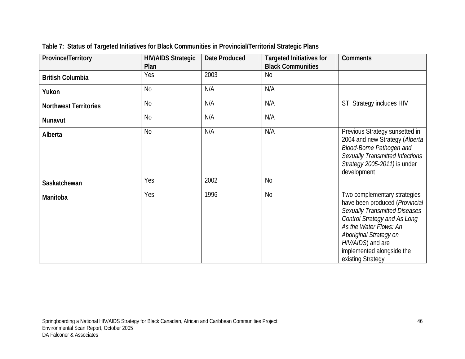| Province/Territory           | <b>HIV/AIDS Strategic</b> | <b>Date Produced</b> | <b>Targeted Initiatives for</b> | <b>Comments</b>                                                                                                                                                                                                                                                          |
|------------------------------|---------------------------|----------------------|---------------------------------|--------------------------------------------------------------------------------------------------------------------------------------------------------------------------------------------------------------------------------------------------------------------------|
|                              | Plan                      |                      | <b>Black Communities</b>        |                                                                                                                                                                                                                                                                          |
| <b>British Columbia</b>      | Yes                       | 2003                 | <b>No</b>                       |                                                                                                                                                                                                                                                                          |
| Yukon                        | N <sub>o</sub>            | N/A                  | N/A                             |                                                                                                                                                                                                                                                                          |
| <b>Northwest Territories</b> | <b>No</b>                 | N/A                  | N/A                             | STI Strategy includes HIV                                                                                                                                                                                                                                                |
| Nunavut                      | <b>No</b>                 | N/A                  | N/A                             |                                                                                                                                                                                                                                                                          |
| Alberta                      | <b>No</b>                 | N/A                  | N/A                             | Previous Strategy sunsetted in<br>2004 and new Strategy (Alberta<br><b>Blood-Borne Pathogen and</b><br>Sexually Transmitted Infections<br>Strategy 2005-2011) is under<br>development                                                                                    |
| Saskatchewan                 | Yes                       | 2002                 | <b>No</b>                       |                                                                                                                                                                                                                                                                          |
| Manitoba                     | Yes                       | 1996                 | <b>No</b>                       | Two complementary strategies<br>have been produced (Provincial<br><b>Sexually Transmitted Diseases</b><br><b>Control Strategy and As Long</b><br>As the Water Flows: An<br>Aboriginal Strategy on<br>HIV/AIDS) and are<br>implemented alongside the<br>existing Strategy |

**Table 7: Status of Targeted Initiatives for Black Communities in Provincial/Territorial Strategic Plans**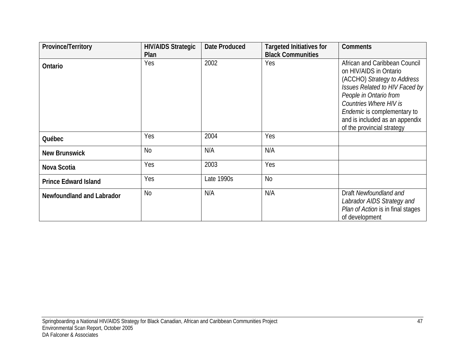| Province/Territory          | <b>HIV/AIDS Strategic</b> | <b>Date Produced</b> | <b>Targeted Initiatives for</b> | <b>Comments</b>                                                                                                                                                                                                                                                             |
|-----------------------------|---------------------------|----------------------|---------------------------------|-----------------------------------------------------------------------------------------------------------------------------------------------------------------------------------------------------------------------------------------------------------------------------|
|                             | Plan                      |                      | <b>Black Communities</b>        |                                                                                                                                                                                                                                                                             |
| Ontario                     | Yes                       | 2002                 | Yes                             | African and Caribbean Council<br>on HIV/AIDS in Ontario<br>(ACCHO) Strategy to Address<br>Issues Related to HIV Faced by<br>People in Ontario from<br>Countries Where HIV is<br>Endemic is complementary to<br>and is included as an appendix<br>of the provincial strategy |
| Québec                      | Yes                       | 2004                 | Yes                             |                                                                                                                                                                                                                                                                             |
| <b>New Brunswick</b>        | <b>No</b>                 | N/A                  | N/A                             |                                                                                                                                                                                                                                                                             |
| Nova Scotia                 | Yes                       | 2003                 | Yes                             |                                                                                                                                                                                                                                                                             |
| <b>Prince Edward Island</b> | Yes                       | Late 1990s           | <b>No</b>                       |                                                                                                                                                                                                                                                                             |
| Newfoundland and Labrador   | N <sub>0</sub>            | N/A                  | N/A                             | Draft Newfoundland and<br>Labrador AIDS Strategy and<br>Plan of Action is in final stages<br>of development                                                                                                                                                                 |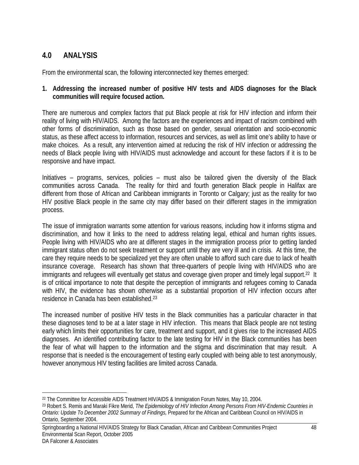# **4.0 ANALYSIS**

From the environmental scan, the following interconnected key themes emerged:

#### **1. Addressing the increased number of positive HIV tests and AIDS diagnoses for the Black communities will require focused action.**

There are numerous and complex factors that put Black people at risk for HIV infection and inform their reality of living with HIV/AIDS. Among the factors are the experiences and impact of racism combined with other forms of discrimination, such as those based on gender, sexual orientation and socio-economic status, as these affect access to information, resources and services, as well as limit one's ability to have or make choices. As a result, any intervention aimed at reducing the risk of HIV infection or addressing the needs of Black people living with HIV/AIDS must acknowledge and account for these factors if it is to be responsive and have impact.

Initiatives – programs, services, policies – must also be tailored given the diversity of the Black communities across Canada. The reality for third and fourth generation Black people in Halifax are different from those of African and Caribbean immigrants in Toronto or Calgary; just as the reality for two HIV positive Black people in the same city may differ based on their different stages in the immigration process.

The issue of immigration warrants some attention for various reasons, including how it informs stigma and discrimination, and how it links to the need to address relating legal, ethical and human rights issues. People living with HIV/AIDS who are at different stages in the immigration process prior to getting landed immigrant status often do not seek treatment or support until they are very ill and in crisis. At this time, the care they require needs to be specialized yet they are often unable to afford such care due to lack of health insurance coverage. Research has shown that three-quarters of people living with HIV/AIDS who are immigrants and refugees will eventually get status and coverage given proper and timely legal support.<sup>22</sup> It is of critical importance to note that despite the perception of immigrants and refugees coming to Canada with HIV, the evidence has shown otherwise as a substantial proportion of HIV infection occurs after residence in Canada has been established.23

The increased number of positive HIV tests in the Black communities has a particular character in that these diagnoses tend to be at a later stage in HIV infection. This means that Black people are not testing early which limits their opportunities for care, treatment and support, and it gives rise to the increased AIDS diagnoses. An identified contributing factor to the late testing for HIV in the Black communities has been the fear of what will happen to the information and the stigma and discrimination that may result. A response that is needed is the encouragement of testing early coupled with being able to test anonymously, however anonymous HIV testing facilities are limited across Canada.

Springboarding a National HIV/AIDS Strategy for Black Canadian, African and Caribbean Communities Project 48 Environmental Scan Report, October 2005

<sup>1</sup> <sup>22</sup> The Committee for Accessible AIDS Treatment HIV/AIDS & Immigration Forum Notes, May 10, 2004.

<sup>23</sup> Robert S. Remis and Maraki Fikre Merid, *The Epidemiology of HIV Infection Among Persons From HIV-Endemic Countries in Ontario: Update To December 2002 Summary of Findings,* Prepared for the African and Caribbean Council on HIV/AIDS in Ontario, September 2004.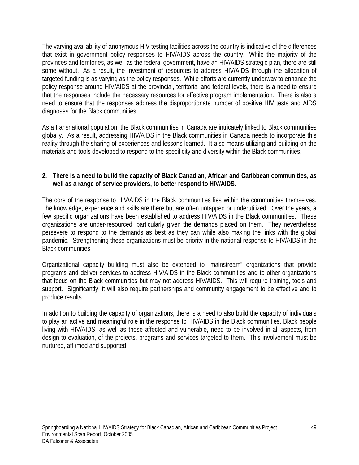The varying availability of anonymous HIV testing facilities across the country is indicative of the differences that exist in government policy responses to HIV/AIDS across the country. While the majority of the provinces and territories, as well as the federal government, have an HIV/AIDS strategic plan, there are still some without. As a result, the investment of resources to address HIV/AIDS through the allocation of targeted funding is as varying as the policy responses. While efforts are currently underway to enhance the policy response around HIV/AIDS at the provincial, territorial and federal levels, there is a need to ensure that the responses include the necessary resources for effective program implementation. There is also a need to ensure that the responses address the disproportionate number of positive HIV tests and AIDS diagnoses for the Black communities.

As a transnational population, the Black communities in Canada are intricately linked to Black communities globally. As a result, addressing HIV/AIDS in the Black communities in Canada needs to incorporate this reality through the sharing of experiences and lessons learned. It also means utilizing and building on the materials and tools developed to respond to the specificity and diversity within the Black communities.

#### **2. There is a need to build the capacity of Black Canadian, African and Caribbean communities, as well as a range of service providers, to better respond to HIV/AIDS.**

The core of the response to HIV/AIDS in the Black communities lies within the communities themselves. The knowledge, experience and skills are there but are often untapped or underutilized. Over the years, a few specific organizations have been established to address HIV/AIDS in the Black communities. These organizations are under-resourced, particularly given the demands placed on them. They nevertheless persevere to respond to the demands as best as they can while also making the links with the global pandemic. Strengthening these organizations must be priority in the national response to HIV/AIDS in the Black communities.

Organizational capacity building must also be extended to "mainstream" organizations that provide programs and deliver services to address HIV/AIDS in the Black communities and to other organizations that focus on the Black communities but may not address HIV/AIDS. This will require training, tools and support. Significantly, it will also require partnerships and community engagement to be effective and to produce results.

In addition to building the capacity of organizations, there is a need to also build the capacity of individuals to play an active and meaningful role in the response to HIV/AIDS in the Black communities. Black people living with HIV/AIDS, as well as those affected and vulnerable, need to be involved in all aspects, from design to evaluation, of the projects, programs and services targeted to them. This involvement must be nurtured, affirmed and supported.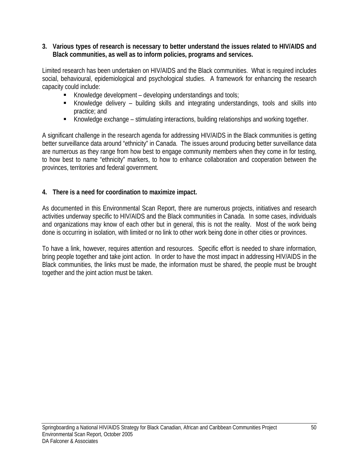#### **3. Various types of research is necessary to better understand the issues related to HIV/AIDS and Black communities, as well as to inform policies, programs and services.**

Limited research has been undertaken on HIV/AIDS and the Black communities. What is required includes social, behavioural, epidemiological and psychological studies. A framework for enhancing the research capacity could include:

- Knowledge development developing understandings and tools;
- Knowledge delivery building skills and integrating understandings, tools and skills into practice; and
- Knowledge exchange stimulating interactions, building relationships and working together.

A significant challenge in the research agenda for addressing HIV/AIDS in the Black communities is getting better surveillance data around "ethnicity" in Canada. The issues around producing better surveillance data are numerous as they range from how best to engage community members when they come in for testing, to how best to name "ethnicity" markers, to how to enhance collaboration and cooperation between the provinces, territories and federal government.

#### **4. There is a need for coordination to maximize impact.**

As documented in this Environmental Scan Report, there are numerous projects, initiatives and research activities underway specific to HIV/AIDS and the Black communities in Canada. In some cases, individuals and organizations may know of each other but in general, this is not the reality. Most of the work being done is occurring in isolation, with limited or no link to other work being done in other cities or provinces.

To have a link, however, requires attention and resources. Specific effort is needed to share information, bring people together and take joint action. In order to have the most impact in addressing HIV/AIDS in the Black communities, the links must be made, the information must be shared, the people must be brought together and the joint action must be taken.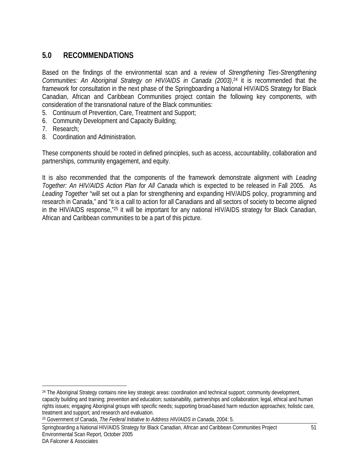# **5.0 RECOMMENDATIONS**

Based on the findings of the environmental scan and a review of *Strengthening Ties-Strengthening Communities: An Aboriginal Strategy on HIV/AIDS in Canada (2003)*, 24 it is recommended that the framework for consultation in the next phase of the Springboarding a National HIV/AIDS Strategy for Black Canadian, African and Caribbean Communities project contain the following key components, with consideration of the transnational nature of the Black communities:

- 5. Continuum of Prevention, Care, Treatment and Support;
- 6. Community Development and Capacity Building;
- 7. Research;
- 8. Coordination and Administration.

These components should be rooted in defined principles, such as access, accountability, collaboration and partnerships, community engagement, and equity.

It is also recommended that the components of the framework demonstrate alignment with *Leading Together: An HIV/AIDS Action Plan for All Canada* which is expected to be released in Fall 2005. As *Leading Together* "will set out a plan for strengthening and expanding HIV/AIDS policy, programming and research in Canada," and "it is a call to action for all Canadians and all sectors of society to become aligned in the HIV/AIDS response,"25 it will be important for any national HIV/AIDS strategy for Black Canadian, African and Caribbean communities to be a part of this picture.

Springboarding a National HIV/AIDS Strategy for Black Canadian, African and Caribbean Communities Project 51 Environmental Scan Report, October 2005

 $\overline{a}$ 

<sup>24</sup> The Aboriginal Strategy contains nine key strategic areas: coordination and technical support; community development, capacity building and training; prevention and education; sustainability, partnerships and collaboration; legal, ethical and human rights issues; engaging Aboriginal groups with specific needs; supporting broad-based harm reduction approaches; holistic care, treatment and support; and research and evaluation.

<sup>25</sup> Government of Canada, *The Federal Initiative to Address HIV/AIDS in Canada,* 2004: 5.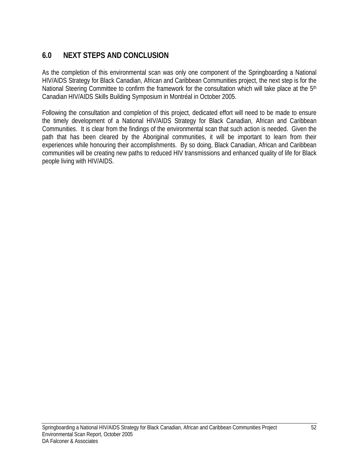# **6.0 NEXT STEPS AND CONCLUSION**

As the completion of this environmental scan was only one component of the Springboarding a National HIV/AIDS Strategy for Black Canadian, African and Caribbean Communities project, the next step is for the National Steering Committee to confirm the framework for the consultation which will take place at the 5<sup>th</sup> Canadian HIV/AIDS Skills Building Symposium in Montréal in October 2005.

Following the consultation and completion of this project, dedicated effort will need to be made to ensure the timely development of a National HIV/AIDS Strategy for Black Canadian, African and Caribbean Communities. It is clear from the findings of the environmental scan that such action is needed. Given the path that has been cleared by the Aboriginal communities, it will be important to learn from their experiences while honouring their accomplishments. By so doing, Black Canadian, African and Caribbean communities will be creating new paths to reduced HIV transmissions and enhanced quality of life for Black people living with HIV/AIDS.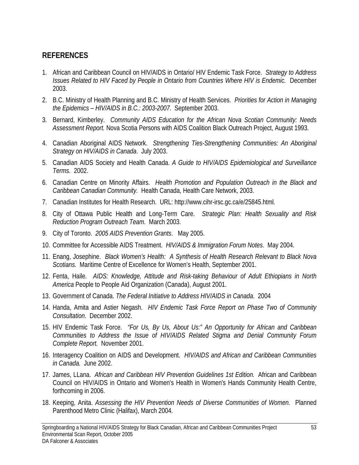# **REFERENCES**

- 1. African and Caribbean Council on HIV/AIDS in Ontario/ HIV Endemic Task Force. *Strategy to Address Issues Related to HIV Faced by People in Ontario from Countries Where HIV is Endemic.* December 2003.
- 2. B.C. Ministry of Health Planning and B.C. Ministry of Health Services. *Priorities for Action in Managing the Epidemics – HIV/AIDS in B.C.: 2003-2007*. September 2003.
- 3. Bernard, Kimberley. *Community AIDS Education for the African Nova Scotian Community: Needs Assessment Report.* Nova Scotia Persons with AIDS Coalition Black Outreach Project, August 1993.
- 4. Canadian Aboriginal AIDS Network. *Strengthening Ties-Strengthening Communities: An Aboriginal Strategy on HIV/AIDS in Canada*. July 2003.
- 5. Canadian AIDS Society and Health Canada. *A Guide to HIV/AIDS Epidemiological and Surveillance Terms.* 2002.
- 6. Canadian Centre on Minority Affairs. *Health Promotion and Population Outreach in the Black and Caribbean Canadian Community.* Health Canada, Health Care Network, 2003.
- 7. Canadian Institutes for Health Research. URL: http://www.cihr-irsc.gc.ca/e/25845.html.
- 8. City of Ottawa Public Health and Long-Term Care. *Strategic Plan: Health Sexuality and Risk Reduction Program Outreach Team*. March 2003.
- 9. City of Toronto. *2005 AIDS Prevention Grants*. May 2005.
- 10. Committee for Accessible AIDS Treatment. *HIV/AIDS & Immigration Forum Notes*. May 2004.
- 11. Enang, Josephine. *Black Women's Health: A Synthesis of Health Research Relevant to Black Nova Scotians.* Maritime Centre of Excellence for Women's Health, September 2001.
- 12. Fenta, Haile. *AIDS: Knowledge, Attitude and Risk-taking Behaviour of Adult Ethiopians in North America* People to People Aid Organization (Canada), August 2001.
- 13. Government of Canada. *The Federal Initiative to Address HIV/AIDS in Canada*. 2004
- 14. Handa, Amita and Astier Negash. *HIV Endemic Task Force Report on Phase Two of Community Consultation*. December 2002.
- 15. HIV Endemic Task Force. *"For Us, By Us, About Us:" An Opportunity for African and Caribbean Communities to Address the Issue of HIV/AIDS Related Stigma and Denial Community Forum Complete Report.* November 2001.
- 16. Interagency Coalition on AIDS and Development. *HIV/AIDS and African and Caribbean Communities in Canada.* June 2002.
- 17. James, LLana. *African and Caribbean HIV Prevention Guidelines 1st Edition.* African and Caribbean Council on HIV/AIDS in Ontario and Women's Health in Women's Hands Community Health Centre, forthcoming in 2006.
- 18. Keeping, Anita. *Assessing the HIV Prevention Needs of Diverse Communities of Women.* Planned Parenthood Metro Clinic (Halifax), March 2004.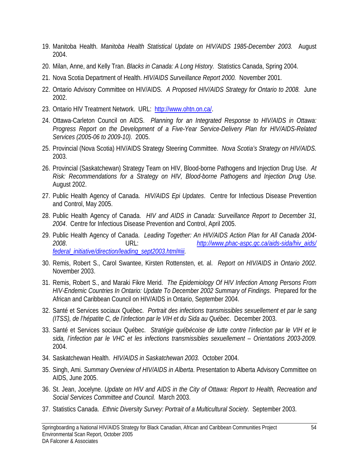- 19. Manitoba Health. *Manitoba Health Statistical Update on HIV/AIDS 1985-December 2003.* August 2004.
- 20. Milan, Anne, and Kelly Tran. *Blacks in Canada: A Long History.* Statistics Canada, Spring 2004.
- 21. Nova Scotia Department of Health. *HIV/AIDS Surveillance Report 2000.* November 2001.
- 22. Ontario Advisory Committee on HIV/AIDS. *A Proposed HIV/AIDS Strategy for Ontario to 2008.* June 2002.
- 23. Ontario HIV Treatment Network. URL: http://www.ohtn.on.ca/.
- 24. Ottawa-Carleton Council on AIDS. *Planning for an Integrated Response to HIV/AIDS in Ottawa: Progress Report on the Development of a Five-Year Service-Delivery Plan for HIV/AIDS-Related Services (2005-06 to 2009-10).* 2005.
- 25. Provincial (Nova Scotia) HIV/AIDS Strategy Steering Committee. *Nova Scotia's Strategy on HIV/AIDS.* 2003.
- 26. Provincial (Saskatchewan) Strategy Team on HIV, Blood-borne Pathogens and Injection Drug Use. *At Risk: Recommendations for a Strategy on HIV, Blood-borne Pathogens and Injection Drug Use.* August 2002.
- 27. Public Health Agency of Canada. *HIV/AIDS Epi Updates*. Centre for Infectious Disease Prevention and Control, May 2005.
- 28. Public Health Agency of Canada. *HIV and AIDS in Canada: Surveillance Report to December 31, 2004*. Centre for Infectious Disease Prevention and Control, April 2005.
- 29. Public Health Agency of Canada. *Leading Together: An HIV/AIDS Action Plan for All Canada 2004- 2008*. URL: *http://www.phac-aspc.gc.ca/aids-sida/hiv\_aids/ federal\_initiative/direction/leading\_sept2003.html#iii.*
- 30. Remis, Robert S., Carol Swantee, Kirsten Rottensten, et. al. *Report on HIV/AIDS in Ontario 2002*. November 2003.
- 31. Remis, Robert S., and Maraki Fikre Merid. *The Epidemiology Of HIV Infection Among Persons From HIV-Endemic Countries In Ontario: Update To December 2002 Summary of Findings*. Prepared for the African and Caribbean Council on HIV/AIDS in Ontario, September 2004.
- 32. Santé et Services sociaux Québec. *Portrait des infections transmissibles sexuellement et par le sang (ITSS), de l'hépatite C, de l'infection par le VIH et du Sida au Québec*. December 2003.
- 33. Santé et Services sociaux Québec. *Stratégie québécoise de lutte contre l'infection par le VIH et le sida, l'infection par le VHC et les infections transmissibles sexuellement – Orientations 2003-2009.* 2004.
- 34. Saskatchewan Health. *HIV/AIDS in Saskatchewan 2003.* October 2004.
- 35. Singh, Ami. *Summary Overview of HIV/AIDS in Alberta*. Presentation to Alberta Advisory Committee on AIDS, June 2005.
- 36. St. Jean, Jocelyne. *Update on HIV and AIDS in the City of Ottawa: Report to Health, Recreation and Social Services Committee and Council.* March 2003.
- 37. Statistics Canada. *Ethnic Diversity Survey: Portrait of a Multicultural Society.* September 2003.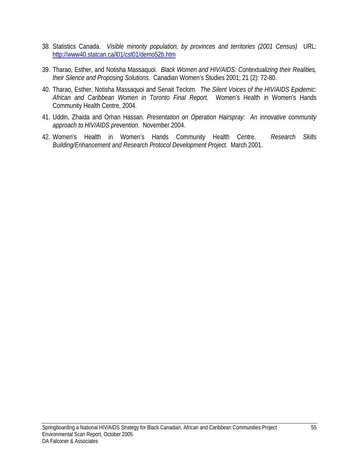- 38. Statistics Canada. *Visible minority population, by provinces and territories (2001 Census)* URL: http://www40.statcan.ca/l01/cst01/demo52b.htm
- 39. Tharao, Esther, and Notisha Massaquoi. *Black Women and HIV/AIDS: Contextualizing their Realities, their Silence and Proposing Solutions.* Canadian Women's Studies 2001; 21 (2): 72-80.
- 40. Tharao, Esther, Notisha Massaquoi and Senait Teclom. *The Silent Voices of the HIV/AIDS Epidemic: African and Caribbean Women in Toronto Final Report.* Women's Health in Women's Hands Community Health Centre, 2004.
- 41. Uddin, Zhaida and Orhan Hassan. *Presentation on Operation Hairspray: An innovative community approach to HIV/AIDS prevention*. November 2004.
- 42. Women's Health in Women's Hands Community Health Centre. *Research Skills Building/Enhancement and Research Protocol Development Project.* March 2001.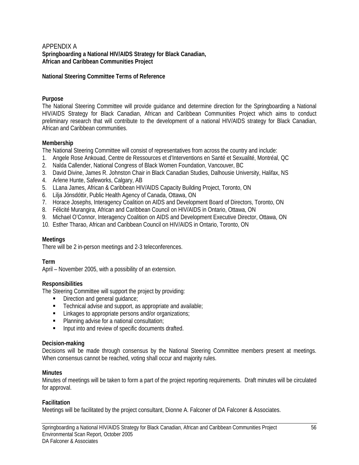#### APPENDIX A **Springboarding a National HIV/AIDS Strategy for Black Canadian, African and Caribbean Communities Project**

#### **National Steering Committee Terms of Reference**

#### **Purpose**

The National Steering Committee will provide guidance and determine direction for the Springboarding a National HIV/AIDS Strategy for Black Canadian, African and Caribbean Communities Project which aims to conduct preliminary research that will contribute to the development of a national HIV/AIDS strategy for Black Canadian, African and Caribbean communities.

#### **Membership**

The National Steering Committee will consist of representatives from across the country and include:

- 1. Angele Rose Ankouad, Centre de Ressources et d'Interventions en Santé et Sexualité, Montréal, QC
- 2. Nalda Callender, National Congress of Black Women Foundation, Vancouver, BC
- 3. David Divine, James R. Johnston Chair in Black Canadian Studies, Dalhousie University, Halifax, NS
- 4. Arlene Hunte, Safeworks, Calgary, AB
- 5. LLana James, African & Caribbean HIV/AIDS Capacity Building Project, Toronto, ON
- 6. Lilja Jónsdóttir, Public Health Agency of Canada, Ottawa, ON
- 7. Horace Josephs, Interagency Coalition on AIDS and Development Board of Directors, Toronto, ON
- 8. Félicité Murangira, African and Caribbean Council on HIV/AIDS in Ontario, Ottawa, ON
- 9. Michael O'Connor, Interagency Coalition on AIDS and Development Executive Director, Ottawa, ON
- 10. Esther Tharao, African and Caribbean Council on HIV/AIDS in Ontario, Toronto, ON

#### **Meetings**

There will be 2 in-person meetings and 2-3 teleconferences.

#### **Term**

April – November 2005, with a possibility of an extension.

#### **Responsibilities**

The Steering Committee will support the project by providing:

- Direction and general quidance;
- Technical advise and support, as appropriate and available;
- **EXECUTE:** Linkages to appropriate persons and/or organizations;
- **Planning advise for a national consultation:**
- **Input into and review of specific documents drafted.**

#### **Decision-making**

Decisions will be made through consensus by the National Steering Committee members present at meetings. When consensus cannot be reached, voting shall occur and majority rules.

#### **Minutes**

Minutes of meetings will be taken to form a part of the project reporting requirements. Draft minutes will be circulated for approval.

#### **Facilitation**

Meetings will be facilitated by the project consultant, Dionne A. Falconer of DA Falconer & Associates.